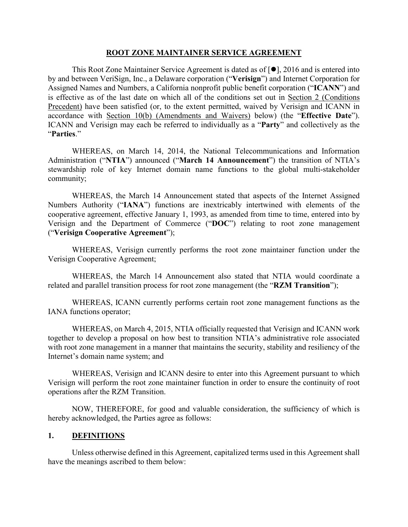#### **ROOT ZONE MAINTAINER SERVICE AGREEMENT**

This Root Zone Maintainer Service Agreement is dated as of  $[•]$ , 2016 and is entered into by and between VeriSign, Inc., a Delaware corporation ("**Verisign**") and Internet Corporation for Assigned Names and Numbers, a California nonprofit public benefit corporation ("**ICANN**") and is effective as of the last date on which all of the conditions set out in Section 2 (Conditions Precedent) have been satisfied (or, to the extent permitted, waived by Verisign and ICANN in accordance with Section 10(b) (Amendments and Waivers) below) (the "**Effective Date**"). ICANN and Verisign may each be referred to individually as a "**Party**" and collectively as the "**Parties**."

WHEREAS, on March 14, 2014, the National Telecommunications and Information Administration ("**NTIA**") announced ("**March 14 Announcement**") the transition of NTIA's stewardship role of key Internet domain name functions to the global multi-stakeholder community;

WHEREAS, the March 14 Announcement stated that aspects of the Internet Assigned Numbers Authority ("**IANA**") functions are inextricably intertwined with elements of the cooperative agreement, effective January 1, 1993, as amended from time to time, entered into by Verisign and the Department of Commerce ("**DOC**") relating to root zone management ("**Verisign Cooperative Agreement**");

WHEREAS, Verisign currently performs the root zone maintainer function under the Verisign Cooperative Agreement;

WHEREAS, the March 14 Announcement also stated that NTIA would coordinate a related and parallel transition process for root zone management (the "**RZM Transition**");

WHEREAS, ICANN currently performs certain root zone management functions as the IANA functions operator;

WHEREAS, on March 4, 2015, NTIA officially requested that Verisign and ICANN work together to develop a proposal on how best to transition NTIA's administrative role associated with root zone management in a manner that maintains the security, stability and resiliency of the Internet's domain name system; and

WHEREAS, Verisign and ICANN desire to enter into this Agreement pursuant to which Verisign will perform the root zone maintainer function in order to ensure the continuity of root operations after the RZM Transition.

NOW, THEREFORE, for good and valuable consideration, the sufficiency of which is hereby acknowledged, the Parties agree as follows:

#### **1. DEFINITIONS**

Unless otherwise defined in this Agreement, capitalized terms used in this Agreement shall have the meanings ascribed to them below: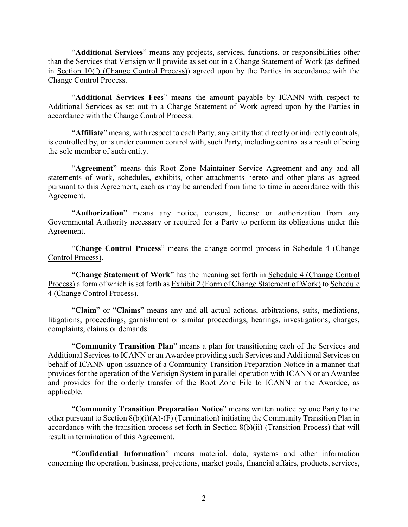"**Additional Services**" means any projects, services, functions, or responsibilities other than the Services that Verisign will provide as set out in a Change Statement of Work (as defined in Section 10(f) (Change Control Process)) agreed upon by the Parties in accordance with the Change Control Process.

"**Additional Services Fees**" means the amount payable by ICANN with respect to Additional Services as set out in a Change Statement of Work agreed upon by the Parties in accordance with the Change Control Process.

"**Affiliate**" means, with respect to each Party, any entity that directly or indirectly controls, is controlled by, or is under common control with, such Party, including control as a result of being the sole member of such entity.

"**Agreement**" means this Root Zone Maintainer Service Agreement and any and all statements of work, schedules, exhibits, other attachments hereto and other plans as agreed pursuant to this Agreement, each as may be amended from time to time in accordance with this Agreement.

"**Authorization**" means any notice, consent, license or authorization from any Governmental Authority necessary or required for a Party to perform its obligations under this Agreement.

"**Change Control Process**" means the change control process in Schedule 4 (Change Control Process).

"**Change Statement of Work**" has the meaning set forth in Schedule 4 (Change Control Process) a form of which is set forth as Exhibit 2 (Form of Change Statement of Work) to Schedule 4 (Change Control Process).

"**Claim**" or "**Claims**" means any and all actual actions, arbitrations, suits, mediations, litigations, proceedings, garnishment or similar proceedings, hearings, investigations, charges, complaints, claims or demands.

"**Community Transition Plan**" means a plan for transitioning each of the Services and Additional Services to ICANN or an Awardee providing such Services and Additional Services on behalf of ICANN upon issuance of a Community Transition Preparation Notice in a manner that provides for the operation of the Verisign System in parallel operation with ICANN or an Awardee and provides for the orderly transfer of the Root Zone File to ICANN or the Awardee, as applicable.

"**Community Transition Preparation Notice**" means written notice by one Party to the other pursuant to Section 8(b)(i)(A)-(F) (Termination) initiating the Community Transition Plan in accordance with the transition process set forth in Section  $8(b)(ii)$  (Transition Process) that will result in termination of this Agreement.

"**Confidential Information**" means material, data, systems and other information concerning the operation, business, projections, market goals, financial affairs, products, services,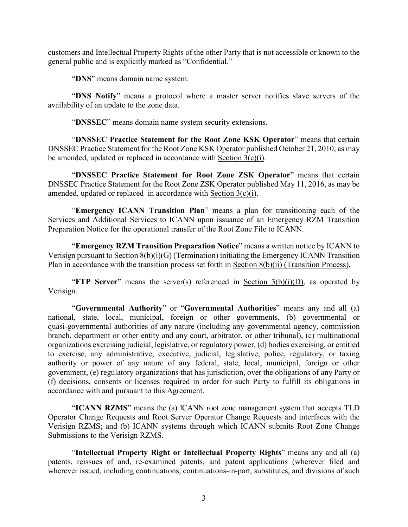customers and Intellectual Property Rights of the other Party that is not accessible or known to the general public and is explicitly marked as "Confidential."

"**DNS**" means domain name system.

"**DNS Notify**" means a protocol where a master server notifies slave servers of the availability of an update to the zone data.

"**DNSSEC**" means domain name system security extensions.

"**DNSSEC Practice Statement for the Root Zone KSK Operator**" means that certain DNSSEC Practice Statement for the Root Zone KSK Operator published October 21, 2010, as may be amended, updated or replaced in accordance with Section 3(c)(i).

"**DNSSEC Practice Statement for Root Zone ZSK Operator**" means that certain DNSSEC Practice Statement for the Root Zone ZSK Operator published May 11, 2016, as may be amended, updated or replaced in accordance with Section 3(c)(i).

"**Emergency ICANN Transition Plan**" means a plan for transitioning each of the Services and Additional Services to ICANN upon issuance of an Emergency RZM Transition Preparation Notice for the operational transfer of the Root Zone File to ICANN.

"**Emergency RZM Transition Preparation Notice**" means a written notice by ICANN to Verisign pursuant to Section 8(b)(i)(G) (Termination) initiating the Emergency ICANN Transition Plan in accordance with the transition process set forth in Section 8(b)(ii) (Transition Process).

"**FTP** Server" means the server(s) referenced in Section  $3(b)(i)(D)$ , as operated by Verisign.

"**Governmental Authority**" or "**Governmental Authorities**" means any and all (a) national, state, local, municipal, foreign or other governments, (b) governmental or quasi-governmental authorities of any nature (including any governmental agency, commission branch, department or other entity and any court, arbitrator, or other tribunal), (c) multinational organizations exercising judicial, legislative, or regulatory power, (d) bodies exercising, or entitled to exercise, any administrative, executive, judicial, legislative, police, regulatory, or taxing authority or power of any nature of any federal, state, local, municipal, foreign or other government, (e) regulatory organizations that has jurisdiction, over the obligations of any Party or (f) decisions, consents or licenses required in order for such Party to fulfill its obligations in accordance with and pursuant to this Agreement.

"**ICANN RZMS**" means the (a) ICANN root zone management system that accepts TLD Operator Change Requests and Root Server Operator Change Requests and interfaces with the Verisign RZMS; and (b) ICANN systems through which ICANN submits Root Zone Change Submissions to the Verisign RZMS.

"**Intellectual Property Right or Intellectual Property Rights**" means any and all (a) patents, reissues of and, re-examined patents, and patent applications (wherever filed and wherever issued, including continuations, continuations-in-part, substitutes, and divisions of such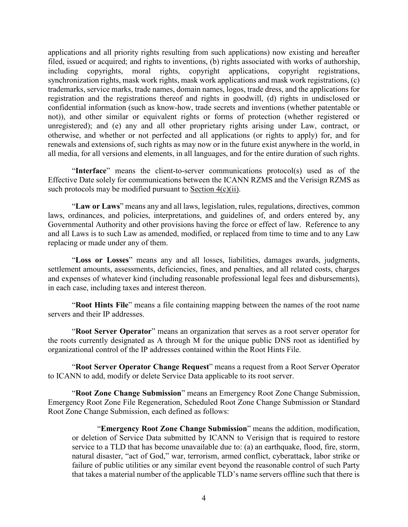applications and all priority rights resulting from such applications) now existing and hereafter filed, issued or acquired; and rights to inventions, (b) rights associated with works of authorship, including copyrights, moral rights, copyright applications, copyright registrations, synchronization rights, mask work rights, mask work applications and mask work registrations, (c) trademarks, service marks, trade names, domain names, logos, trade dress, and the applications for registration and the registrations thereof and rights in goodwill, (d) rights in undisclosed or confidential information (such as know-how, trade secrets and inventions (whether patentable or not)), and other similar or equivalent rights or forms of protection (whether registered or unregistered); and (e) any and all other proprietary rights arising under Law, contract, or otherwise, and whether or not perfected and all applications (or rights to apply) for, and for renewals and extensions of, such rights as may now or in the future exist anywhere in the world, in all media, for all versions and elements, in all languages, and for the entire duration of such rights.

"**Interface**" means the client-to-server communications protocol(s) used as of the Effective Date solely for communications between the ICANN RZMS and the Verisign RZMS as such protocols may be modified pursuant to Section  $4(c)(ii)$ .

"**Law or Laws**" means any and all laws, legislation, rules, regulations, directives, common laws, ordinances, and policies, interpretations, and guidelines of, and orders entered by, any Governmental Authority and other provisions having the force or effect of law. Reference to any and all Laws is to such Law as amended, modified, or replaced from time to time and to any Law replacing or made under any of them.

"**Loss or Losses**" means any and all losses, liabilities, damages awards, judgments, settlement amounts, assessments, deficiencies, fines, and penalties, and all related costs, charges and expenses of whatever kind (including reasonable professional legal fees and disbursements), in each case, including taxes and interest thereon.

"**Root Hints File**" means a file containing mapping between the names of the root name servers and their IP addresses.

"**Root Server Operator**" means an organization that serves as a root server operator for the roots currently designated as A through M for the unique public DNS root as identified by organizational control of the IP addresses contained within the Root Hints File.

"**Root Server Operator Change Request**" means a request from a Root Server Operator to ICANN to add, modify or delete Service Data applicable to its root server.

"**Root Zone Change Submission**" means an Emergency Root Zone Change Submission, Emergency Root Zone File Regeneration, Scheduled Root Zone Change Submission or Standard Root Zone Change Submission, each defined as follows:

"**Emergency Root Zone Change Submission**" means the addition, modification, or deletion of Service Data submitted by ICANN to Verisign that is required to restore service to a TLD that has become unavailable due to: (a) an earthquake, flood, fire, storm, natural disaster, "act of God," war, terrorism, armed conflict, cyberattack, labor strike or failure of public utilities or any similar event beyond the reasonable control of such Party that takes a material number of the applicable TLD's name servers offline such that there is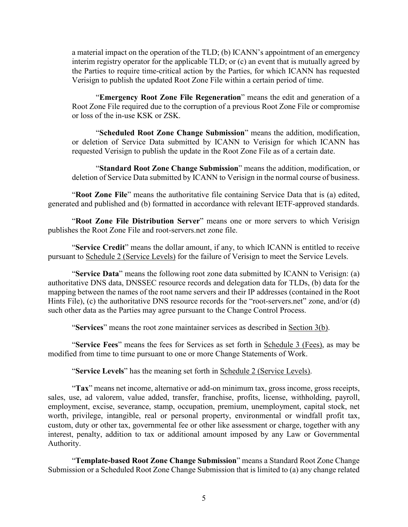a material impact on the operation of the TLD; (b) ICANN's appointment of an emergency interim registry operator for the applicable TLD; or (c) an event that is mutually agreed by the Parties to require time-critical action by the Parties, for which ICANN has requested Verisign to publish the updated Root Zone File within a certain period of time.

"**Emergency Root Zone File Regeneration**" means the edit and generation of a Root Zone File required due to the corruption of a previous Root Zone File or compromise or loss of the in-use KSK or ZSK.

"**Scheduled Root Zone Change Submission**" means the addition, modification, or deletion of Service Data submitted by ICANN to Verisign for which ICANN has requested Verisign to publish the update in the Root Zone File as of a certain date.

"**Standard Root Zone Change Submission**" means the addition, modification, or deletion of Service Data submitted by ICANN to Verisign in the normal course of business.

"**Root Zone File**" means the authoritative file containing Service Data that is (a) edited, generated and published and (b) formatted in accordance with relevant IETF-approved standards.

"**Root Zone File Distribution Server**" means one or more servers to which Verisign publishes the Root Zone File and root-servers.net zone file.

"**Service Credit**" means the dollar amount, if any, to which ICANN is entitled to receive pursuant to Schedule 2 (Service Levels) for the failure of Verisign to meet the Service Levels.

"**Service Data**" means the following root zone data submitted by ICANN to Verisign: (a) authoritative DNS data, DNSSEC resource records and delegation data for TLDs, (b) data for the mapping between the names of the root name servers and their IP addresses (contained in the Root Hints File), (c) the authoritative DNS resource records for the "root-servers.net" zone, and/or (d) such other data as the Parties may agree pursuant to the Change Control Process.

"**Services**" means the root zone maintainer services as described in Section 3(b).

"**Service Fees**" means the fees for Services as set forth in Schedule 3 (Fees), as may be modified from time to time pursuant to one or more Change Statements of Work.

"**Service Levels**" has the meaning set forth in Schedule 2 (Service Levels).

"**Tax**" means net income, alternative or add-on minimum tax, gross income, gross receipts, sales, use, ad valorem, value added, transfer, franchise, profits, license, withholding, payroll, employment, excise, severance, stamp, occupation, premium, unemployment, capital stock, net worth, privilege, intangible, real or personal property, environmental or windfall profit tax, custom, duty or other tax, governmental fee or other like assessment or charge, together with any interest, penalty, addition to tax or additional amount imposed by any Law or Governmental Authority.

"**Template-based Root Zone Change Submission**" means a Standard Root Zone Change Submission or a Scheduled Root Zone Change Submission that is limited to (a) any change related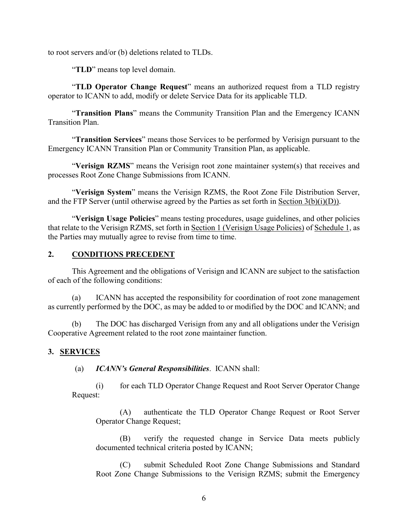to root servers and/or (b) deletions related to TLDs.

"**TLD**" means top level domain.

"**TLD Operator Change Request**" means an authorized request from a TLD registry operator to ICANN to add, modify or delete Service Data for its applicable TLD.

"**Transition Plans**" means the Community Transition Plan and the Emergency ICANN Transition Plan.

"**Transition Services**" means those Services to be performed by Verisign pursuant to the Emergency ICANN Transition Plan or Community Transition Plan, as applicable.

"**Verisign RZMS**" means the Verisign root zone maintainer system(s) that receives and processes Root Zone Change Submissions from ICANN.

"**Verisign System**" means the Verisign RZMS, the Root Zone File Distribution Server, and the FTP Server (until otherwise agreed by the Parties as set forth in Section 3(b)(i)(D)).

"**Verisign Usage Policies**" means testing procedures, usage guidelines, and other policies that relate to the Verisign RZMS, set forth in Section 1 (Verisign Usage Policies) of Schedule 1, as the Parties may mutually agree to revise from time to time.

### **2. CONDITIONS PRECEDENT**

This Agreement and the obligations of Verisign and ICANN are subject to the satisfaction of each of the following conditions:

(a) ICANN has accepted the responsibility for coordination of root zone management as currently performed by the DOC, as may be added to or modified by the DOC and ICANN; and

(b) The DOC has discharged Verisign from any and all obligations under the Verisign Cooperative Agreement related to the root zone maintainer function.

### **3. SERVICES**

(a) *ICANN's General Responsibilities*. ICANN shall:

(i) for each TLD Operator Change Request and Root Server Operator Change Request:

(A) authenticate the TLD Operator Change Request or Root Server Operator Change Request;

(B) verify the requested change in Service Data meets publicly documented technical criteria posted by ICANN;

(C) submit Scheduled Root Zone Change Submissions and Standard Root Zone Change Submissions to the Verisign RZMS; submit the Emergency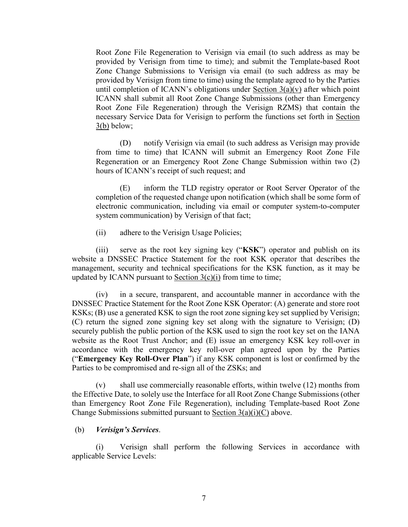Root Zone File Regeneration to Verisign via email (to such address as may be provided by Verisign from time to time); and submit the Template-based Root Zone Change Submissions to Verisign via email (to such address as may be provided by Verisign from time to time) using the template agreed to by the Parties until completion of ICANN's obligations under Section  $3(a)(v)$  after which point ICANN shall submit all Root Zone Change Submissions (other than Emergency Root Zone File Regeneration) through the Verisign RZMS) that contain the necessary Service Data for Verisign to perform the functions set forth in Section 3(b) below;

(D) notify Verisign via email (to such address as Verisign may provide from time to time) that ICANN will submit an Emergency Root Zone File Regeneration or an Emergency Root Zone Change Submission within two (2) hours of ICANN's receipt of such request; and

(E) inform the TLD registry operator or Root Server Operator of the completion of the requested change upon notification (which shall be some form of electronic communication, including via email or computer system-to-computer system communication) by Verisign of that fact;

(ii) adhere to the Verisign Usage Policies;

(iii) serve as the root key signing key ("**KSK**") operator and publish on its website a DNSSEC Practice Statement for the root KSK operator that describes the management, security and technical specifications for the KSK function, as it may be updated by ICANN pursuant to Section  $3(c)(i)$  from time to time;

(iv) in a secure, transparent, and accountable manner in accordance with the DNSSEC Practice Statement for the Root Zone KSK Operator: (A) generate and store root KSKs; (B) use a generated KSK to sign the root zone signing key set supplied by Verisign; (C) return the signed zone signing key set along with the signature to Verisign; (D) securely publish the public portion of the KSK used to sign the root key set on the IANA website as the Root Trust Anchor; and (E) issue an emergency KSK key roll-over in accordance with the emergency key roll-over plan agreed upon by the Parties ("**Emergency Key Roll-Over Plan**") if any KSK component is lost or confirmed by the Parties to be compromised and re-sign all of the ZSKs; and

(v) shall use commercially reasonable efforts, within twelve (12) months from the Effective Date, to solely use the Interface for all Root Zone Change Submissions (other than Emergency Root Zone File Regeneration), including Template-based Root Zone Change Submissions submitted pursuant to Section  $3(a)(i)(C)$  above.

### (b) *Verisign's Services*.

Verisign shall perform the following Services in accordance with applicable Service Levels: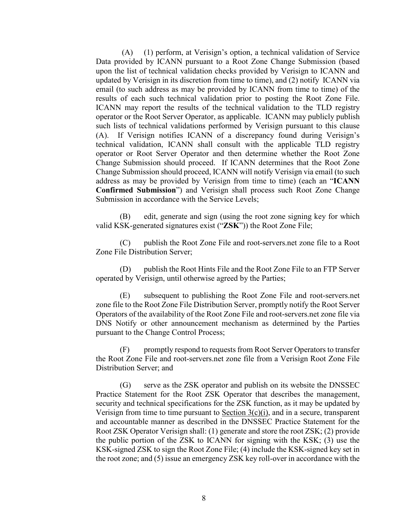(A) (1) perform, at Verisign's option, a technical validation of Service Data provided by ICANN pursuant to a Root Zone Change Submission (based upon the list of technical validation checks provided by Verisign to ICANN and updated by Verisign in its discretion from time to time), and (2) notify ICANN via email (to such address as may be provided by ICANN from time to time) of the results of each such technical validation prior to posting the Root Zone File. ICANN may report the results of the technical validation to the TLD registry operator or the Root Server Operator, as applicable. ICANN may publicly publish such lists of technical validations performed by Verisign pursuant to this clause (A). If Verisign notifies ICANN of a discrepancy found during Verisign's technical validation, ICANN shall consult with the applicable TLD registry operator or Root Server Operator and then determine whether the Root Zone Change Submission should proceed. If ICANN determines that the Root Zone Change Submission should proceed, ICANN will notify Verisign via email (to such address as may be provided by Verisign from time to time) (each an "**ICANN Confirmed Submission**") and Verisign shall process such Root Zone Change Submission in accordance with the Service Levels;

(B) edit, generate and sign (using the root zone signing key for which valid KSK-generated signatures exist ("**ZSK**")) the Root Zone File;

(C) publish the Root Zone File and root-servers.net zone file to a Root Zone File Distribution Server;

(D) publish the Root Hints File and the Root Zone File to an FTP Server operated by Verisign, until otherwise agreed by the Parties;

(E) subsequent to publishing the Root Zone File and root-servers.net zone file to the Root Zone File Distribution Server, promptly notify the Root Server Operators of the availability of the Root Zone File and root-servers.net zone file via DNS Notify or other announcement mechanism as determined by the Parties pursuant to the Change Control Process;

(F) promptly respond to requests from Root Server Operators to transfer the Root Zone File and root-servers.net zone file from a Verisign Root Zone File Distribution Server; and

(G) serve as the ZSK operator and publish on its website the DNSSEC Practice Statement for the Root ZSK Operator that describes the management, security and technical specifications for the ZSK function, as it may be updated by Verisign from time to time pursuant to Section  $3(c)(i)$ , and in a secure, transparent and accountable manner as described in the DNSSEC Practice Statement for the Root ZSK Operator Verisign shall: (1) generate and store the root ZSK; (2) provide the public portion of the ZSK to ICANN for signing with the KSK; (3) use the KSK-signed ZSK to sign the Root Zone File; (4) include the KSK-signed key set in the root zone; and (5) issue an emergency ZSK key roll-over in accordance with the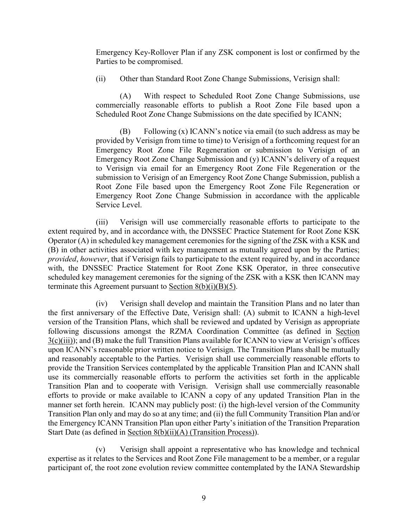Emergency Key-Rollover Plan if any ZSK component is lost or confirmed by the Parties to be compromised.

(ii) Other than Standard Root Zone Change Submissions, Verisign shall:

(A) With respect to Scheduled Root Zone Change Submissions, use commercially reasonable efforts to publish a Root Zone File based upon a Scheduled Root Zone Change Submissions on the date specified by ICANN;

(B) Following (x) ICANN's notice via email (to such address as may be provided by Verisign from time to time) to Verisign of a forthcoming request for an Emergency Root Zone File Regeneration or submission to Verisign of an Emergency Root Zone Change Submission and (y) ICANN's delivery of a request to Verisign via email for an Emergency Root Zone File Regeneration or the submission to Verisign of an Emergency Root Zone Change Submission, publish a Root Zone File based upon the Emergency Root Zone File Regeneration or Emergency Root Zone Change Submission in accordance with the applicable Service Level.

(iii) Verisign will use commercially reasonable efforts to participate to the extent required by, and in accordance with, the DNSSEC Practice Statement for Root Zone KSK Operator (A) in scheduled key management ceremonies for the signing of the ZSK with a KSK and (B) in other activities associated with key management as mutually agreed upon by the Parties; *provided*, *however*, that if Verisign fails to participate to the extent required by, and in accordance with, the DNSSEC Practice Statement for Root Zone KSK Operator, in three consecutive scheduled key management ceremonies for the signing of the ZSK with a KSK then ICANN may terminate this Agreement pursuant to Section  $8(b)(i)(B)(5)$ .

(iv) Verisign shall develop and maintain the Transition Plans and no later than the first anniversary of the Effective Date, Verisign shall: (A) submit to ICANN a high-level version of the Transition Plans, which shall be reviewed and updated by Verisign as appropriate following discussions amongst the RZMA Coordination Committee (as defined in Section 3(c)(iii)); and (B) make the full Transition Plans available for ICANN to view at Verisign's offices upon ICANN's reasonable prior written notice to Verisign. The Transition Plans shall be mutually and reasonably acceptable to the Parties. Verisign shall use commercially reasonable efforts to provide the Transition Services contemplated by the applicable Transition Plan and ICANN shall use its commercially reasonable efforts to perform the activities set forth in the applicable Transition Plan and to cooperate with Verisign. Verisign shall use commercially reasonable efforts to provide or make available to ICANN a copy of any updated Transition Plan in the manner set forth herein. ICANN may publicly post: (i) the high-level version of the Community Transition Plan only and may do so at any time; and (ii) the full Community Transition Plan and/or the Emergency ICANN Transition Plan upon either Party's initiation of the Transition Preparation Start Date (as defined in Section 8(b)(ii)(A) (Transition Process)).

(v) Verisign shall appoint a representative who has knowledge and technical expertise as it relates to the Services and Root Zone File management to be a member, or a regular participant of, the root zone evolution review committee contemplated by the IANA Stewardship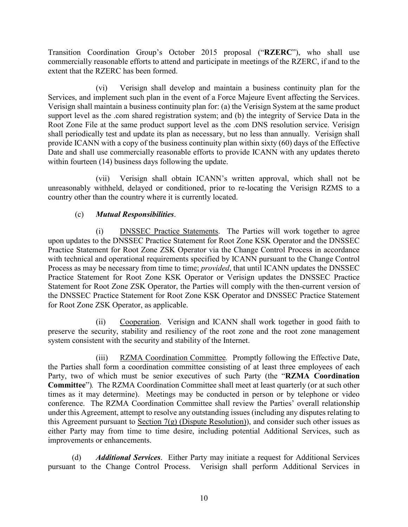Transition Coordination Group's October 2015 proposal ("**RZERC**"), who shall use commercially reasonable efforts to attend and participate in meetings of the RZERC, if and to the extent that the RZERC has been formed.

(vi) Verisign shall develop and maintain a business continuity plan for the Services, and implement such plan in the event of a Force Majeure Event affecting the Services. Verisign shall maintain a business continuity plan for: (a) the Verisign System at the same product support level as the .com shared registration system; and (b) the integrity of Service Data in the Root Zone File at the same product support level as the .com DNS resolution service. Verisign shall periodically test and update its plan as necessary, but no less than annually. Verisign shall provide ICANN with a copy of the business continuity plan within sixty (60) days of the Effective Date and shall use commercially reasonable efforts to provide ICANN with any updates thereto within fourteen (14) business days following the update.

(vii) Verisign shall obtain ICANN's written approval, which shall not be unreasonably withheld, delayed or conditioned, prior to re-locating the Verisign RZMS to a country other than the country where it is currently located.

## (c) *Mutual Responsibilities*.

(i) DNSSEC Practice Statements. The Parties will work together to agree upon updates to the DNSSEC Practice Statement for Root Zone KSK Operator and the DNSSEC Practice Statement for Root Zone ZSK Operator via the Change Control Process in accordance with technical and operational requirements specified by ICANN pursuant to the Change Control Process as may be necessary from time to time; *provided*, that until ICANN updates the DNSSEC Practice Statement for Root Zone KSK Operator or Verisign updates the DNSSEC Practice Statement for Root Zone ZSK Operator, the Parties will comply with the then-current version of the DNSSEC Practice Statement for Root Zone KSK Operator and DNSSEC Practice Statement for Root Zone ZSK Operator, as applicable.

(ii) Cooperation. Verisign and ICANN shall work together in good faith to preserve the security, stability and resiliency of the root zone and the root zone management system consistent with the security and stability of the Internet.

(iii) RZMA Coordination Committee*.* Promptly following the Effective Date, the Parties shall form a coordination committee consisting of at least three employees of each Party, two of which must be senior executives of such Party (the "**RZMA Coordination Committee**")*.* The RZMA Coordination Committee shall meet at least quarterly (or at such other times as it may determine). Meetings may be conducted in person or by telephone or video conference. The RZMA Coordination Committee shall review the Parties' overall relationship under this Agreement, attempt to resolve any outstanding issues (including any disputes relating to this Agreement pursuant to Section 7(g) (Dispute Resolution)), and consider such other issues as either Party may from time to time desire, including potential Additional Services, such as improvements or enhancements.

(d) *Additional Services*. Either Party may initiate a request for Additional Services pursuant to the Change Control Process. Verisign shall perform Additional Services in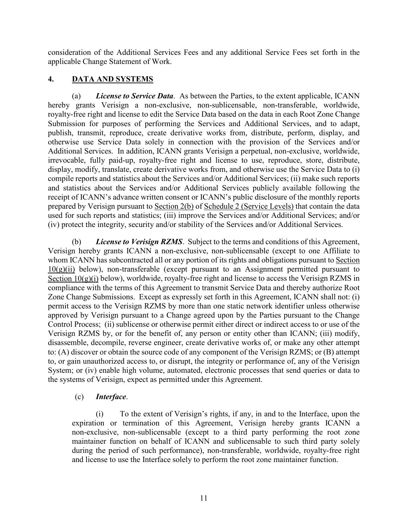consideration of the Additional Services Fees and any additional Service Fees set forth in the applicable Change Statement of Work.

## **4. DATA AND SYSTEMS**

(a) *License to Service Data*. As between the Parties, to the extent applicable, ICANN hereby grants Verisign a non-exclusive, non-sublicensable, non-transferable, worldwide, royalty-free right and license to edit the Service Data based on the data in each Root Zone Change Submission for purposes of performing the Services and Additional Services, and to adapt, publish, transmit, reproduce, create derivative works from, distribute, perform, display, and otherwise use Service Data solely in connection with the provision of the Services and/or Additional Services. In addition, ICANN grants Verisign a perpetual, non-exclusive, worldwide, irrevocable, fully paid-up, royalty-free right and license to use, reproduce, store, distribute, display, modify, translate, create derivative works from, and otherwise use the Service Data to (i) compile reports and statistics about the Services and/or Additional Services; (ii) make such reports and statistics about the Services and/or Additional Services publicly available following the receipt of ICANN's advance written consent or ICANN's public disclosure of the monthly reports prepared by Verisign pursuant to Section 2(b) of Schedule 2 (Service Levels) that contain the data used for such reports and statistics; (iii) improve the Services and/or Additional Services; and/or (iv) protect the integrity, security and/or stability of the Services and/or Additional Services.

(b) *License to Verisign RZMS*. Subject to the terms and conditions of this Agreement, Verisign hereby grants ICANN a non-exclusive, non-sublicensable (except to one Affiliate to whom ICANN has subcontracted all or any portion of its rights and obligations pursuant to Section  $10(g)(ii)$  below), non-transferable (except pursuant to an Assignment permitted pursuant to Section  $10(g)(i)$  below), worldwide, royalty-free right and license to access the Verisign RZMS in compliance with the terms of this Agreement to transmit Service Data and thereby authorize Root Zone Change Submissions. Except as expressly set forth in this Agreement, ICANN shall not: (i) permit access to the Verisign RZMS by more than one static network identifier unless otherwise approved by Verisign pursuant to a Change agreed upon by the Parties pursuant to the Change Control Process; (ii) sublicense or otherwise permit either direct or indirect access to or use of the Verisign RZMS by, or for the benefit of, any person or entity other than ICANN; (iii) modify, disassemble, decompile, reverse engineer, create derivative works of, or make any other attempt to: (A) discover or obtain the source code of any component of the Verisign RZMS; or (B) attempt to, or gain unauthorized access to, or disrupt, the integrity or performance of, any of the Verisign System; or (iv) enable high volume, automated, electronic processes that send queries or data to the systems of Verisign, expect as permitted under this Agreement.

## (c) *Interface*.

(i) To the extent of Verisign's rights, if any, in and to the Interface, upon the expiration or termination of this Agreement, Verisign hereby grants ICANN a non-exclusive, non-sublicensable (except to a third party performing the root zone maintainer function on behalf of ICANN and sublicensable to such third party solely during the period of such performance), non-transferable, worldwide, royalty-free right and license to use the Interface solely to perform the root zone maintainer function.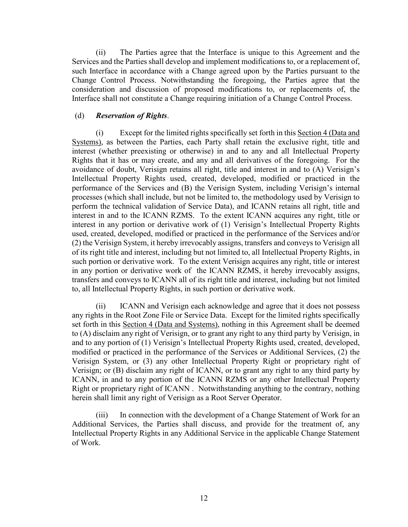(ii) The Parties agree that the Interface is unique to this Agreement and the Services and the Parties shall develop and implement modifications to, or a replacement of, such Interface in accordance with a Change agreed upon by the Parties pursuant to the Change Control Process. Notwithstanding the foregoing, the Parties agree that the consideration and discussion of proposed modifications to, or replacements of, the Interface shall not constitute a Change requiring initiation of a Change Control Process.

### (d) *Reservation of Rights*.

(i) Except for the limited rights specifically set forth in this Section 4 (Data and Systems), as between the Parties, each Party shall retain the exclusive right, title and interest (whether preexisting or otherwise) in and to any and all Intellectual Property Rights that it has or may create, and any and all derivatives of the foregoing. For the avoidance of doubt, Verisign retains all right, title and interest in and to (A) Verisign's Intellectual Property Rights used, created, developed, modified or practiced in the performance of the Services and (B) the Verisign System, including Verisign's internal processes (which shall include, but not be limited to, the methodology used by Verisign to perform the technical validation of Service Data), and ICANN retains all right, title and interest in and to the ICANN RZMS. To the extent ICANN acquires any right, title or interest in any portion or derivative work of (1) Verisign's Intellectual Property Rights used, created, developed, modified or practiced in the performance of the Services and/or (2) the Verisign System, it hereby irrevocably assigns, transfers and conveys to Verisign all of its right title and interest, including but not limited to, all Intellectual Property Rights, in such portion or derivative work. To the extent Verisign acquires any right, title or interest in any portion or derivative work of the ICANN RZMS, it hereby irrevocably assigns, transfers and conveys to ICANN all of its right title and interest, including but not limited to, all Intellectual Property Rights, in such portion or derivative work.

(ii) ICANN and Verisign each acknowledge and agree that it does not possess any rights in the Root Zone File or Service Data. Except for the limited rights specifically set forth in this Section 4 (Data and Systems), nothing in this Agreement shall be deemed to (A) disclaim any right of Verisign, or to grant any right to any third party by Verisign, in and to any portion of (1) Verisign's Intellectual Property Rights used, created, developed, modified or practiced in the performance of the Services or Additional Services, (2) the Verisign System, or (3) any other Intellectual Property Right or proprietary right of Verisign; or (B) disclaim any right of ICANN, or to grant any right to any third party by ICANN, in and to any portion of the ICANN RZMS or any other Intellectual Property Right or proprietary right of ICANN . Notwithstanding anything to the contrary, nothing herein shall limit any right of Verisign as a Root Server Operator.

(iii) In connection with the development of a Change Statement of Work for an Additional Services, the Parties shall discuss, and provide for the treatment of, any Intellectual Property Rights in any Additional Service in the applicable Change Statement of Work.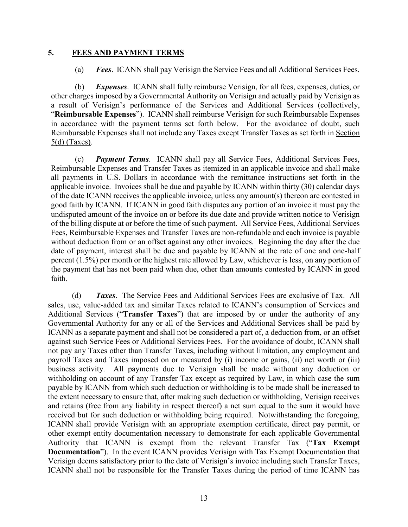#### **5. FEES AND PAYMENT TERMS**

(a) *Fees*. ICANN shall pay Verisign the Service Fees and all Additional Services Fees.

(b) *Expenses*. ICANN shall fully reimburse Verisign, for all fees, expenses, duties, or other charges imposed by a Governmental Authority on Verisign and actually paid by Verisign as a result of Verisign's performance of the Services and Additional Services (collectively, "**Reimbursable Expenses**"). ICANN shall reimburse Verisign for such Reimbursable Expenses in accordance with the payment terms set forth below. For the avoidance of doubt, such Reimbursable Expenses shall not include any Taxes except Transfer Taxes as set forth in Section 5(d) (Taxes).

(c) *Payment Terms*. ICANN shall pay all Service Fees, Additional Services Fees, Reimbursable Expenses and Transfer Taxes as itemized in an applicable invoice and shall make all payments in U.S. Dollars in accordance with the remittance instructions set forth in the applicable invoice. Invoices shall be due and payable by ICANN within thirty (30) calendar days of the date ICANN receives the applicable invoice, unless any amount(s) thereon are contested in good faith by ICANN. If ICANN in good faith disputes any portion of an invoice it must pay the undisputed amount of the invoice on or before its due date and provide written notice to Verisign of the billing dispute at or before the time of such payment. All Service Fees, Additional Services Fees, Reimbursable Expenses and Transfer Taxes are non-refundable and each invoice is payable without deduction from or an offset against any other invoices. Beginning the day after the due date of payment, interest shall be due and payable by ICANN at the rate of one and one-half percent (1.5%) per month or the highest rate allowed by Law, whichever is less, on any portion of the payment that has not been paid when due, other than amounts contested by ICANN in good faith.

(d) *Taxes*. The Service Fees and Additional Services Fees are exclusive of Tax. All sales, use, value-added tax and similar Taxes related to ICANN's consumption of Services and Additional Services ("**Transfer Taxes**") that are imposed by or under the authority of any Governmental Authority for any or all of the Services and Additional Services shall be paid by ICANN as a separate payment and shall not be considered a part of, a deduction from, or an offset against such Service Fees or Additional Services Fees. For the avoidance of doubt, ICANN shall not pay any Taxes other than Transfer Taxes, including without limitation, any employment and payroll Taxes and Taxes imposed on or measured by (i) income or gains, (ii) net worth or (iii) business activity. All payments due to Verisign shall be made without any deduction or withholding on account of any Transfer Tax except as required by Law, in which case the sum payable by ICANN from which such deduction or withholding is to be made shall be increased to the extent necessary to ensure that, after making such deduction or withholding, Verisign receives and retains (free from any liability in respect thereof) a net sum equal to the sum it would have received but for such deduction or withholding being required. Notwithstanding the foregoing, ICANN shall provide Verisign with an appropriate exemption certificate, direct pay permit, or other exempt entity documentation necessary to demonstrate for each applicable Governmental Authority that ICANN is exempt from the relevant Transfer Tax ("**Tax Exempt Documentation**"). In the event ICANN provides Verisign with Tax Exempt Documentation that Verisign deems satisfactory prior to the date of Verisign's invoice including such Transfer Taxes, ICANN shall not be responsible for the Transfer Taxes during the period of time ICANN has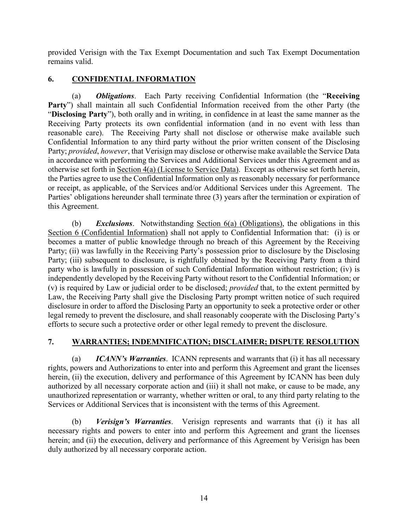provided Verisign with the Tax Exempt Documentation and such Tax Exempt Documentation remains valid.

## **6. CONFIDENTIAL INFORMATION**

(a) *Obligations*. Each Party receiving Confidential Information (the "**Receiving**  Party") shall maintain all such Confidential Information received from the other Party (the "**Disclosing Party**"), both orally and in writing, in confidence in at least the same manner as the Receiving Party protects its own confidential information (and in no event with less than reasonable care). The Receiving Party shall not disclose or otherwise make available such Confidential Information to any third party without the prior written consent of the Disclosing Party; *provided*, *however*, that Verisign may disclose or otherwise make available the Service Data in accordance with performing the Services and Additional Services under this Agreement and as otherwise set forth in Section 4(a) (License to Service Data). Except as otherwise set forth herein, the Parties agree to use the Confidential Information only as reasonably necessary for performance or receipt, as applicable, of the Services and/or Additional Services under this Agreement. The Parties' obligations hereunder shall terminate three (3) years after the termination or expiration of this Agreement.

(b) *Exclusions*. Notwithstanding Section 6(a) (Obligations), the obligations in this Section 6 (Confidential Information) shall not apply to Confidential Information that: (i) is or becomes a matter of public knowledge through no breach of this Agreement by the Receiving Party; (ii) was lawfully in the Receiving Party's possession prior to disclosure by the Disclosing Party; (iii) subsequent to disclosure, is rightfully obtained by the Receiving Party from a third party who is lawfully in possession of such Confidential Information without restriction; (iv) is independently developed by the Receiving Party without resort to the Confidential Information; or (v) is required by Law or judicial order to be disclosed; *provided* that, to the extent permitted by Law, the Receiving Party shall give the Disclosing Party prompt written notice of such required disclosure in order to afford the Disclosing Party an opportunity to seek a protective order or other legal remedy to prevent the disclosure, and shall reasonably cooperate with the Disclosing Party's efforts to secure such a protective order or other legal remedy to prevent the disclosure.

## **7. WARRANTIES; INDEMNIFICATION; DISCLAIMER; DISPUTE RESOLUTION**

(a) *ICANN's Warranties*. ICANN represents and warrants that (i) it has all necessary rights, powers and Authorizations to enter into and perform this Agreement and grant the licenses herein, (ii) the execution, delivery and performance of this Agreement by ICANN has been duly authorized by all necessary corporate action and (iii) it shall not make, or cause to be made, any unauthorized representation or warranty, whether written or oral, to any third party relating to the Services or Additional Services that is inconsistent with the terms of this Agreement.

(b) *Verisign's Warranties*. Verisign represents and warrants that (i) it has all necessary rights and powers to enter into and perform this Agreement and grant the licenses herein; and (ii) the execution, delivery and performance of this Agreement by Verisign has been duly authorized by all necessary corporate action.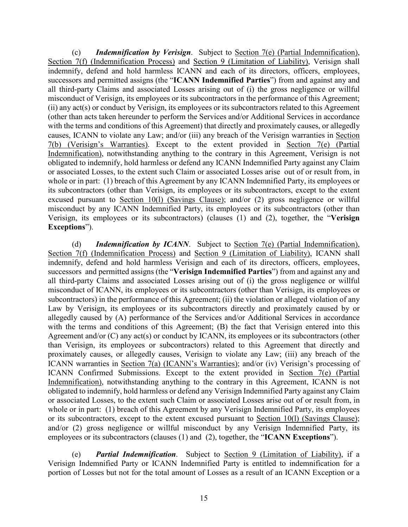(c) *Indemnification by Verisign*. Subject to Section 7(e) (Partial Indemnification), Section 7(f) (Indemnification Process) and Section 9 (Limitation of Liability), Verisign shall indemnify, defend and hold harmless ICANN and each of its directors, officers, employees, successors and permitted assigns (the "**ICANN Indemnified Parties**") from and against any and all third-party Claims and associated Losses arising out of (i) the gross negligence or willful misconduct of Verisign, its employees or its subcontractors in the performance of this Agreement; (ii) any act(s) or conduct by Verisign, its employees or its subcontractors related to this Agreement (other than acts taken hereunder to perform the Services and/or Additional Services in accordance with the terms and conditions of this Agreement) that directly and proximately causes, or allegedly causes, ICANN to violate any Law; and/or (iii) any breach of the Verisign warranties in Section 7(b) (Verisign's Warranties). Except to the extent provided in Section 7(e) (Partial Indemnification), notwithstanding anything to the contrary in this Agreement, Verisign is not obligated to indemnify, hold harmless or defend any ICANN Indemnified Party against any Claim or associated Losses, to the extent such Claim or associated Losses arise out of or result from, in whole or in part: (1) breach of this Agreement by any ICANN Indemnified Party, its employees or its subcontractors (other than Verisign, its employees or its subcontractors, except to the extent excused pursuant to Section 10(l) (Savings Clause); and/or (2) gross negligence or willful misconduct by any ICANN Indemnified Party, its employees or its subcontractors (other than Verisign, its employees or its subcontractors) (clauses (1) and (2), together, the "**Verisign Exceptions**").

(d) *Indemnification by ICANN*. Subject to Section 7(e) (Partial Indemnification), Section 7(f) (Indemnification Process) and Section 9 (Limitation of Liability), ICANN shall indemnify, defend and hold harmless Verisign and each of its directors, officers, employees, successors and permitted assigns (the "**Verisign Indemnified Parties**") from and against any and all third-party Claims and associated Losses arising out of (i) the gross negligence or willful misconduct of ICANN, its employees or its subcontractors (other than Verisign, its employees or subcontractors) in the performance of this Agreement; (ii) the violation or alleged violation of any Law by Verisign, its employees or its subcontractors directly and proximately caused by or allegedly caused by (A) performance of the Services and/or Additional Services in accordance with the terms and conditions of this Agreement; (B) the fact that Verisign entered into this Agreement and/or (C) any act(s) or conduct by ICANN, its employees or its subcontractors (other than Verisign, its employees or subcontractors) related to this Agreement that directly and proximately causes, or allegedly causes, Verisign to violate any Law; (iii) any breach of the ICANN warranties in Section 7(a) (ICANN's Warranties); and/or (iv) Verisign's processing of ICANN Confirmed Submissions. Except to the extent provided in Section 7(e) (Partial Indemnification), notwithstanding anything to the contrary in this Agreement, ICANN is not obligated to indemnify, hold harmless or defend any Verisign Indemnified Party against any Claim or associated Losses, to the extent such Claim or associated Losses arise out of or result from, in whole or in part: (1) breach of this Agreement by any Verisign Indemnified Party, its employees or its subcontractors, except to the extent excused pursuant to Section 10(l) (Savings Clause); and/or (2) gross negligence or willful misconduct by any Verisign Indemnified Party, its employees or its subcontractors (clauses (1) and (2), together, the "**ICANN Exceptions**").

(e) *Partial Indemnification*. Subject to Section 9 (Limitation of Liability), if a Verisign Indemnified Party or ICANN Indemnified Party is entitled to indemnification for a portion of Losses but not for the total amount of Losses as a result of an ICANN Exception or a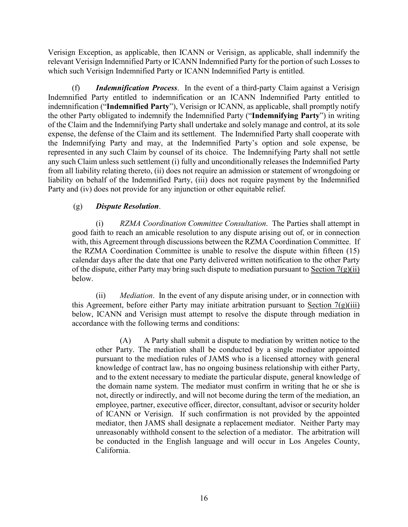Verisign Exception, as applicable, then ICANN or Verisign, as applicable, shall indemnify the relevant Verisign Indemnified Party or ICANN Indemnified Party for the portion of such Losses to which such Verisign Indemnified Party or ICANN Indemnified Party is entitled.

(f) *Indemnification Process*. In the event of a third-party Claim against a Verisign Indemnified Party entitled to indemnification or an ICANN Indemnified Party entitled to indemnification ("**Indemnified Party**"), Verisign or ICANN, as applicable, shall promptly notify the other Party obligated to indemnify the Indemnified Party ("**Indemnifying Party**") in writing of the Claim and the Indemnifying Party shall undertake and solely manage and control, at its sole expense, the defense of the Claim and its settlement. The Indemnified Party shall cooperate with the Indemnifying Party and may, at the Indemnified Party's option and sole expense, be represented in any such Claim by counsel of its choice. The Indemnifying Party shall not settle any such Claim unless such settlement (i) fully and unconditionally releases the Indemnified Party from all liability relating thereto, (ii) does not require an admission or statement of wrongdoing or liability on behalf of the Indemnified Party, (iii) does not require payment by the Indemnified Party and (iv) does not provide for any injunction or other equitable relief.

## (g) *Dispute Resolution*.

(i) *RZMA Coordination Committee Consultation*. The Parties shall attempt in good faith to reach an amicable resolution to any dispute arising out of, or in connection with, this Agreement through discussions between the RZMA Coordination Committee. If the RZMA Coordination Committee is unable to resolve the dispute within fifteen (15) calendar days after the date that one Party delivered written notification to the other Party of the dispute, either Party may bring such dispute to mediation pursuant to Section  $7(g)(ii)$ below.

(ii) *Mediation*. In the event of any dispute arising under, or in connection with this Agreement, before either Party may initiate arbitration pursuant to Section  $7(g)(iii)$ below, ICANN and Verisign must attempt to resolve the dispute through mediation in accordance with the following terms and conditions:

(A) A Party shall submit a dispute to mediation by written notice to the other Party. The mediation shall be conducted by a single mediator appointed pursuant to the mediation rules of JAMS who is a licensed attorney with general knowledge of contract law, has no ongoing business relationship with either Party, and to the extent necessary to mediate the particular dispute, general knowledge of the domain name system. The mediator must confirm in writing that he or she is not, directly or indirectly, and will not become during the term of the mediation, an employee, partner, executive officer, director, consultant, advisor or security holder of ICANN or Verisign. If such confirmation is not provided by the appointed mediator, then JAMS shall designate a replacement mediator. Neither Party may unreasonably withhold consent to the selection of a mediator. The arbitration will be conducted in the English language and will occur in Los Angeles County, California.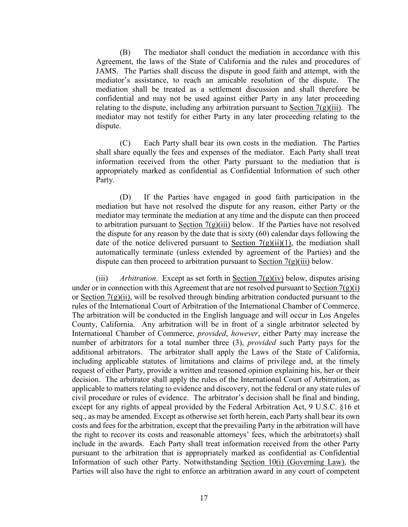(B) The mediator shall conduct the mediation in accordance with this Agreement, the laws of the State of California and the rules and procedures of JAMS. The Parties shall discuss the dispute in good faith and attempt, with the mediator's assistance, to reach an amicable resolution of the dispute. The mediation shall be treated as a settlement discussion and shall therefore be confidential and may not be used against either Party in any later proceeding relating to the dispute, including any arbitration pursuant to Section  $7(g)(iii)$ . The mediator may not testify for either Party in any later proceeding relating to the dispute.

(C) Each Party shall bear its own costs in the mediation. The Parties shall share equally the fees and expenses of the mediator. Each Party shall treat information received from the other Party pursuant to the mediation that is appropriately marked as confidential as Confidential Information of such other Party.

(D) If the Parties have engaged in good faith participation in the mediation but have not resolved the dispute for any reason, either Party or the mediator may terminate the mediation at any time and the dispute can then proceed to arbitration pursuant to Section  $7(g)(iii)$  below. If the Parties have not resolved the dispute for any reason by the date that is sixty (60) calendar days following the date of the notice delivered pursuant to Section  $7(g)(ii)(1)$ , the mediation shall automatically terminate (unless extended by agreement of the Parties) and the dispute can then proceed to arbitration pursuant to Section  $7(g)(iii)$  below.

(iii) *Arbitration*. Except as set forth in Section 7(g)(iv) below, disputes arising under or in connection with this Agreement that are not resolved pursuant to Section  $7(g)(i)$ or Section  $7(g)(ii)$ , will be resolved through binding arbitration conducted pursuant to the rules of the International Court of Arbitration of the International Chamber of Commerce. The arbitration will be conducted in the English language and will occur in Los Angeles County, California. Any arbitration will be in front of a single arbitrator selected by International Chamber of Commerce, *provided*, *however*, either Party may increase the number of arbitrators for a total number three (3), *provided* such Party pays for the additional arbitrators. The arbitrator shall apply the Laws of the State of California, including applicable statutes of limitations and claims of privilege and, at the timely request of either Party, provide a written and reasoned opinion explaining his, her or their decision. The arbitrator shall apply the rules of the International Court of Arbitration, as applicable to matters relating to evidence and discovery, not the federal or any state rules of civil procedure or rules of evidence. The arbitrator's decision shall be final and binding, except for any rights of appeal provided by the Federal Arbitration Act, 9 U.S.C. §16 et seq., as may be amended. Except as otherwise set forth herein, each Party shall bear its own costs and fees for the arbitration, except that the prevailing Party in the arbitration will have the right to recover its costs and reasonable attorneys' fees, which the arbitrator(s) shall include in the awards. Each Party shall treat information received from the other Party pursuant to the arbitration that is appropriately marked as confidential as Confidential Information of such other Party. Notwithstanding Section 10(i) (Governing Law), the Parties will also have the right to enforce an arbitration award in any court of competent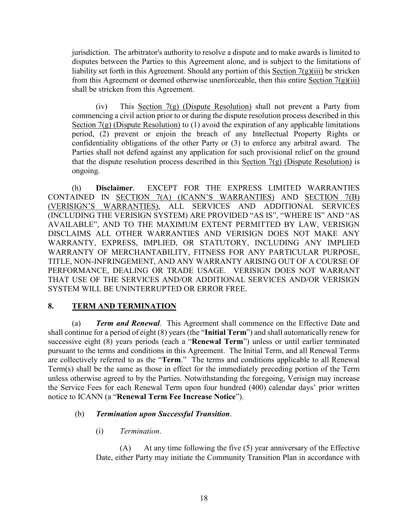jurisdiction. The arbitrator's authority to resolve a dispute and to make awards is limited to disputes between the Parties to this Agreement alone, and is subject to the limitations of liability set forth in this Agreement. Should any portion of this Section 7(g)(iii) be stricken from this Agreement or deemed otherwise unenforceable, then this entire Section  $7(g)(iii)$ shall be stricken from this Agreement.

(iv) This Section 7(g) (Dispute Resolution) shall not prevent a Party from commencing a civil action prior to or during the dispute resolution process described in this Section 7(g) (Dispute Resolution) to (1) avoid the expiration of any applicable limitations period, (2) prevent or enjoin the breach of any Intellectual Property Rights or confidentiality obligations of the other Party or (3) to enforce any arbitral award. The Parties shall not defend against any application for such provisional relief on the ground that the dispute resolution process described in this Section  $7(g)$  (Dispute Resolution) is ongoing.

(h) **Disclaimer**. EXCEPT FOR THE EXPRESS LIMITED WARRANTIES CONTAINED IN SECTION 7(A) (ICANN'S WARRANTIES) AND SECTION 7(B) (VERISIGN'S WARRANTIES), ALL SERVICES AND ADDITIONAL SERVICES (INCLUDING THE VERISIGN SYSTEM) ARE PROVIDED "AS IS", "WHERE IS" AND "AS AVAILABLE", AND TO THE MAXIMUM EXTENT PERMITTED BY LAW, VERISIGN DISCLAIMS ALL OTHER WARRANTIES AND VERISIGN DOES NOT MAKE ANY WARRANTY, EXPRESS, IMPLIED, OR STATUTORY, INCLUDING ANY IMPLIED WARRANTY OF MERCHANTABILITY, FITNESS FOR ANY PARTICULAR PURPOSE, TITLE, NON-INFRINGEMENT, AND ANY WARRANTY ARISING OUT OF A COURSE OF PERFORMANCE, DEALING OR TRADE USAGE. VERISIGN DOES NOT WARRANT THAT USE OF THE SERVICES AND/OR ADDITIONAL SERVICES AND/OR VERISIGN SYSTEM WILL BE UNINTERRUPTED OR ERROR FREE.

## **8. TERM AND TERMINATION**

(a) *Term and Renewal*. This Agreement shall commence on the Effective Date and shall continue for a period of eight (8) years (the "**Initial Term**") and shall automatically renew for successive eight (8) years periods (each a "**Renewal Term**") unless or until earlier terminated pursuant to the terms and conditions in this Agreement. The Initial Term, and all Renewal Terms are collectively referred to as the "**Term**." The terms and conditions applicable to all Renewal Term(s) shall be the same as those in effect for the immediately preceding portion of the Term unless otherwise agreed to by the Parties. Notwithstanding the foregoing, Verisign may increase the Service Fees for each Renewal Term upon four hundred (400) calendar days' prior written notice to ICANN (a "**Renewal Term Fee Increase Notice**").

## (b) *Termination upon Successful Transition*.

(i) *Termination*.

(A) At any time following the five (5) year anniversary of the Effective Date, either Party may initiate the Community Transition Plan in accordance with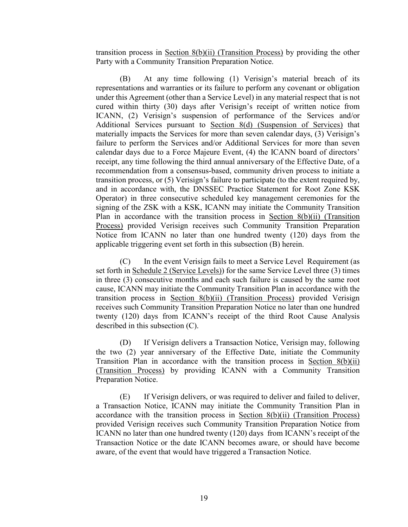transition process in Section 8(b)(ii) (Transition Process) by providing the other Party with a Community Transition Preparation Notice.

(B) At any time following (1) Verisign's material breach of its representations and warranties or its failure to perform any covenant or obligation under this Agreement (other than a Service Level) in any material respect that is not cured within thirty (30) days after Verisign's receipt of written notice from ICANN, (2) Verisign's suspension of performance of the Services and/or Additional Services pursuant to Section 8(d) (Suspension of Services) that materially impacts the Services for more than seven calendar days, (3) Verisign's failure to perform the Services and/or Additional Services for more than seven calendar days due to a Force Majeure Event, (4) the ICANN board of directors' receipt, any time following the third annual anniversary of the Effective Date, of a recommendation from a consensus-based, community driven process to initiate a transition process, or (5) Verisign's failure to participate (to the extent required by, and in accordance with, the DNSSEC Practice Statement for Root Zone KSK Operator) in three consecutive scheduled key management ceremonies for the signing of the ZSK with a KSK, ICANN may initiate the Community Transition Plan in accordance with the transition process in Section 8(b)(ii) (Transition Process) provided Verisign receives such Community Transition Preparation Notice from ICANN no later than one hundred twenty (120) days from the applicable triggering event set forth in this subsection (B) herein.

(C) In the event Verisign fails to meet a Service Level Requirement (as set forth in Schedule 2 (Service Levels)) for the same Service Level three (3) times in three (3) consecutive months and each such failure is caused by the same root cause, ICANN may initiate the Community Transition Plan in accordance with the transition process in Section 8(b)(ii) (Transition Process) provided Verisign receives such Community Transition Preparation Notice no later than one hundred twenty (120) days from ICANN's receipt of the third Root Cause Analysis described in this subsection (C).

(D) If Verisign delivers a Transaction Notice, Verisign may, following the two (2) year anniversary of the Effective Date, initiate the Community Transition Plan in accordance with the transition process in Section 8(b)(ii) (Transition Process) by providing ICANN with a Community Transition Preparation Notice.

(E) If Verisign delivers, or was required to deliver and failed to deliver, a Transaction Notice, ICANN may initiate the Community Transition Plan in accordance with the transition process in Section  $8(b)(ii)$  (Transition Process) provided Verisign receives such Community Transition Preparation Notice from ICANN no later than one hundred twenty (120) days from ICANN's receipt of the Transaction Notice or the date ICANN becomes aware, or should have become aware, of the event that would have triggered a Transaction Notice.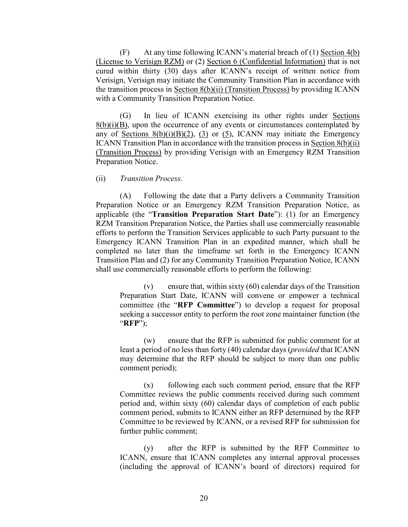(F) At any time following ICANN's material breach of (1) Section 4(b) (License to Verisign RZM) or (2) Section 6 (Confidential Information) that is not cured within thirty (30) days after ICANN's receipt of written notice from Verisign, Verisign may initiate the Community Transition Plan in accordance with the transition process in Section 8(b)(ii) (Transition Process) by providing ICANN with a Community Transition Preparation Notice.

(G) In lieu of ICANN exercising its other rights under Sections  $8(b)(i)(B)$ , upon the occurrence of any events or circumstances contemplated by any of Sections  $8(b)(i)(B)(2)$ , (3) or (5), ICANN may initiate the Emergency ICANN Transition Plan in accordance with the transition process in Section 8(b)(ii) (Transition Process) by providing Verisign with an Emergency RZM Transition Preparation Notice.

(ii) *Transition Process.* 

(A) Following the date that a Party delivers a Community Transition Preparation Notice or an Emergency RZM Transition Preparation Notice, as applicable (the "**Transition Preparation Start Date**"): (1) for an Emergency RZM Transition Preparation Notice, the Parties shall use commercially reasonable efforts to perform the Transition Services applicable to such Party pursuant to the Emergency ICANN Transition Plan in an expedited manner, which shall be completed no later than the timeframe set forth in the Emergency ICANN Transition Plan and (2) for any Community Transition Preparation Notice, ICANN shall use commercially reasonable efforts to perform the following:

(v) ensure that, within sixty  $(60)$  calendar days of the Transition Preparation Start Date, ICANN will convene or empower a technical committee (the "**RFP Committee**") to develop a request for proposal seeking a successor entity to perform the root zone maintainer function (the "**RFP**");

(w) ensure that the RFP is submitted for public comment for at least a period of no less than forty (40) calendar days (*provided* that ICANN may determine that the RFP should be subject to more than one public comment period);

(x) following each such comment period, ensure that the RFP Committee reviews the public comments received during such comment period and, within sixty (60) calendar days of completion of each public comment period, submits to ICANN either an RFP determined by the RFP Committee to be reviewed by ICANN, or a revised RFP for submission for further public comment;

(y) after the RFP is submitted by the RFP Committee to ICANN, ensure that ICANN completes any internal approval processes (including the approval of ICANN's board of directors) required for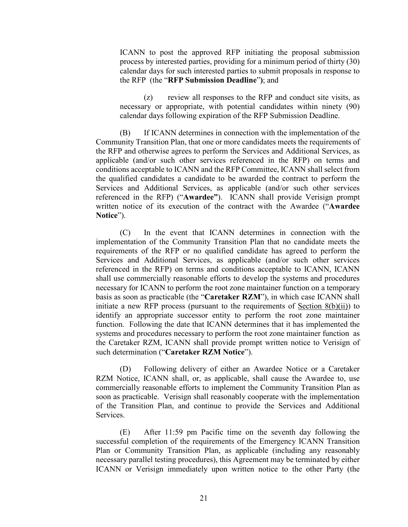ICANN to post the approved RFP initiating the proposal submission process by interested parties, providing for a minimum period of thirty (30) calendar days for such interested parties to submit proposals in response to the RFP (the "**RFP Submission Deadline**"**)**; and

(z) review all responses to the RFP and conduct site visits, as necessary or appropriate, with potential candidates within ninety (90) calendar days following expiration of the RFP Submission Deadline.

(B) If ICANN determines in connection with the implementation of the Community Transition Plan, that one or more candidates meets the requirements of the RFP and otherwise agrees to perform the Services and Additional Services, as applicable (and/or such other services referenced in the RFP) on terms and conditions acceptable to ICANN and the RFP Committee, ICANN shall select from the qualified candidates a candidate to be awarded the contract to perform the Services and Additional Services, as applicable (and/or such other services referenced in the RFP) ("**Awardee"**). ICANN shall provide Verisign prompt written notice of its execution of the contract with the Awardee ("**Awardee Notice**").

(C) In the event that ICANN determines in connection with the implementation of the Community Transition Plan that no candidate meets the requirements of the RFP or no qualified candidate has agreed to perform the Services and Additional Services, as applicable (and/or such other services referenced in the RFP) on terms and conditions acceptable to ICANN, ICANN shall use commercially reasonable efforts to develop the systems and procedures necessary for ICANN to perform the root zone maintainer function on a temporary basis as soon as practicable (the "**Caretaker RZM**"), in which case ICANN shall initiate a new RFP process (pursuant to the requirements of Section 8(b)(ii)) to identify an appropriate successor entity to perform the root zone maintainer function. Following the date that ICANN determines that it has implemented the systems and procedures necessary to perform the root zone maintainer function as the Caretaker RZM, ICANN shall provide prompt written notice to Verisign of such determination ("**Caretaker RZM Notice**").

(D) Following delivery of either an Awardee Notice or a Caretaker RZM Notice, ICANN shall, or, as applicable, shall cause the Awardee to, use commercially reasonable efforts to implement the Community Transition Plan as soon as practicable. Verisign shall reasonably cooperate with the implementation of the Transition Plan, and continue to provide the Services and Additional **Services** 

(E) After 11:59 pm Pacific time on the seventh day following the successful completion of the requirements of the Emergency ICANN Transition Plan or Community Transition Plan, as applicable (including any reasonably necessary parallel testing procedures), this Agreement may be terminated by either ICANN or Verisign immediately upon written notice to the other Party (the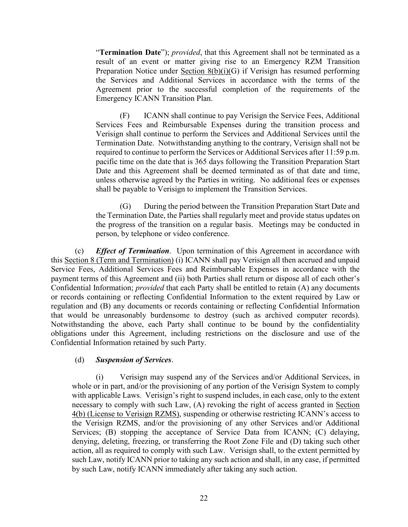"**Termination Date**"); *provided*, that this Agreement shall not be terminated as a result of an event or matter giving rise to an Emergency RZM Transition Preparation Notice under Section 8(b)(i)(G) if Verisign has resumed performing the Services and Additional Services in accordance with the terms of the Agreement prior to the successful completion of the requirements of the Emergency ICANN Transition Plan.

(F) ICANN shall continue to pay Verisign the Service Fees, Additional Services Fees and Reimbursable Expenses during the transition process and Verisign shall continue to perform the Services and Additional Services until the Termination Date. Notwithstanding anything to the contrary, Verisign shall not be required to continue to perform the Services or Additional Services after 11:59 p.m. pacific time on the date that is 365 days following the Transition Preparation Start Date and this Agreement shall be deemed terminated as of that date and time, unless otherwise agreed by the Parties in writing. No additional fees or expenses shall be payable to Verisign to implement the Transition Services.

(G) During the period between the Transition Preparation Start Date and the Termination Date, the Parties shall regularly meet and provide status updates on the progress of the transition on a regular basis. Meetings may be conducted in person, by telephone or video conference.

(c) *Effect of Termination*.Upon termination of this Agreement in accordance with this Section 8 (Term and Termination) (i) ICANN shall pay Verisign all then accrued and unpaid Service Fees, Additional Services Fees and Reimbursable Expenses in accordance with the payment terms of this Agreement and (ii) both Parties shall return or dispose all of each other's Confidential Information; *provided* that each Party shall be entitled to retain (A) any documents or records containing or reflecting Confidential Information to the extent required by Law or regulation and (B) any documents or records containing or reflecting Confidential Information that would be unreasonably burdensome to destroy (such as archived computer records). Notwithstanding the above, each Party shall continue to be bound by the confidentiality obligations under this Agreement, including restrictions on the disclosure and use of the Confidential Information retained by such Party.

## (d) *Suspension of Services*.

Verisign may suspend any of the Services and/or Additional Services, in whole or in part, and/or the provisioning of any portion of the Verisign System to comply with applicable Laws. Verisign's right to suspend includes, in each case, only to the extent necessary to comply with such Law, (A) revoking the right of access granted in Section 4(b) (License to Verisign RZMS), suspending or otherwise restricting ICANN's access to the Verisign RZMS, and/or the provisioning of any other Services and/or Additional Services; (B) stopping the acceptance of Service Data from ICANN; (C) delaying, denying, deleting, freezing, or transferring the Root Zone File and (D) taking such other action, all as required to comply with such Law. Verisign shall, to the extent permitted by such Law, notify ICANN prior to taking any such action and shall, in any case, if permitted by such Law, notify ICANN immediately after taking any such action.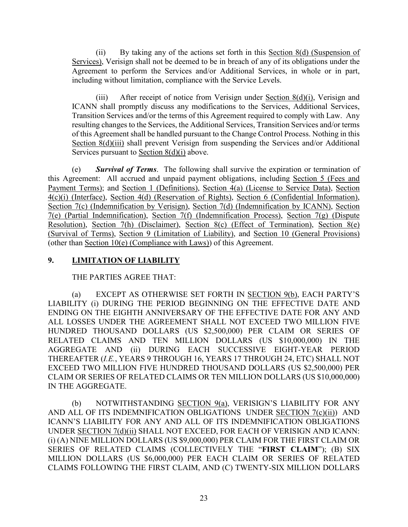(ii) By taking any of the actions set forth in this Section 8(d) (Suspension of Services), Verisign shall not be deemed to be in breach of any of its obligations under the Agreement to perform the Services and/or Additional Services, in whole or in part, including without limitation, compliance with the Service Levels.

(iii) After receipt of notice from Verisign under Section 8(d)(i), Verisign and ICANN shall promptly discuss any modifications to the Services, Additional Services, Transition Services and/or the terms of this Agreement required to comply with Law. Any resulting changes to the Services, the Additional Services, Transition Services and/or terms of this Agreement shall be handled pursuant to the Change Control Process. Nothing in this Section 8(d)(iii) shall prevent Verisign from suspending the Services and/or Additional Services pursuant to Section 8(d)(i) above.

(e) *Survival of Terms*. The following shall survive the expiration or termination of this Agreement: All accrued and unpaid payment obligations, including Section 5 (Fees and Payment Terms); and Section 1 (Definitions), Section 4(a) (License to Service Data), Section 4(c)(i) (Interface), Section 4(d) (Reservation of Rights), Section 6 (Confidential Information), Section 7(c) (Indemnification by Verisign), Section 7(d) (Indemnification by ICANN), Section 7(e) (Partial Indemnification), Section 7(f) (Indemnification Process), Section 7(g) (Dispute Resolution), Section 7(h) (Disclaimer), Section 8(c) (Effect of Termination), Section 8(e) (Survival of Terms), Section 9 (Limitation of Liability), and Section 10 (General Provisions) (other than Section 10(e) (Compliance with Laws)) of this Agreement.

## **9. LIMITATION OF LIABILITY**

THE PARTIES AGREE THAT:

(a) EXCEPT AS OTHERWISE SET FORTH IN SECTION 9(b), EACH PARTY'S LIABILITY (i) DURING THE PERIOD BEGINNING ON THE EFFECTIVE DATE AND ENDING ON THE EIGHTH ANNIVERSARY OF THE EFFECTIVE DATE FOR ANY AND ALL LOSSES UNDER THE AGREEMENT SHALL NOT EXCEED TWO MILLION FIVE HUNDRED THOUSAND DOLLARS (US \$2,500,000) PER CLAIM OR SERIES OF RELATED CLAIMS AND TEN MILLION DOLLARS (US \$10,000,000) IN THE AGGREGATE AND (ii) DURING EACH SUCCESSIVE EIGHT-YEAR PERIOD THEREAFTER (*I.E.*, YEARS 9 THROUGH 16, YEARS 17 THROUGH 24, ETC) SHALL NOT EXCEED TWO MILLION FIVE HUNDRED THOUSAND DOLLARS (US \$2,500,000) PER CLAIM OR SERIES OF RELATED CLAIMS OR TEN MILLION DOLLARS (US \$10,000,000) IN THE AGGREGATE.

(b) NOTWITHSTANDING SECTION 9(a), VERISIGN'S LIABILITY FOR ANY AND ALL OF ITS INDEMNIFICATION OBLIGATIONS UNDER SECTION 7(c)(ii)) AND ICANN'S LIABILITY FOR ANY AND ALL OF ITS INDEMNIFICATION OBLIGATIONS UNDER SECTION 7(d)(ii) SHALL NOT EXCEED, FOR EACH OF VERISIGN AND ICANN: (i) (A) NINE MILLION DOLLARS (US \$9,000,000) PER CLAIM FOR THE FIRST CLAIM OR SERIES OF RELATED CLAIMS (COLLECTIVELY THE "**FIRST CLAIM**"); (B) SIX MILLION DOLLARS (US \$6,000,000) PER EACH CLAIM OR SERIES OF RELATED CLAIMS FOLLOWING THE FIRST CLAIM, AND (C) TWENTY-SIX MILLION DOLLARS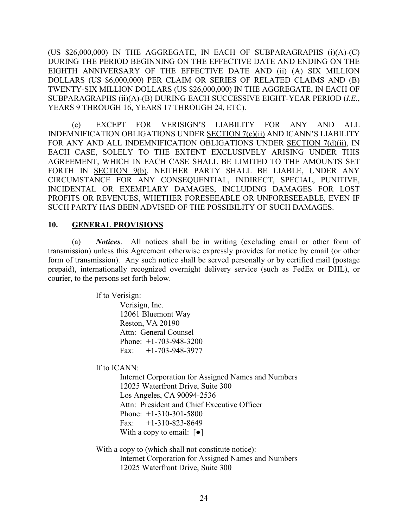(US \$26,000,000) IN THE AGGREGATE, IN EACH OF SUBPARAGRAPHS (i)(A)-(C) DURING THE PERIOD BEGINNING ON THE EFFECTIVE DATE AND ENDING ON THE EIGHTH ANNIVERSARY OF THE EFFECTIVE DATE AND (ii) (A) SIX MILLION DOLLARS (US \$6,000,000) PER CLAIM OR SERIES OF RELATED CLAIMS AND (B) TWENTY-SIX MILLION DOLLARS (US \$26,000,000) IN THE AGGREGATE, IN EACH OF SUBPARAGRAPHS (ii)(A)-(B) DURING EACH SUCCESSIVE EIGHT-YEAR PERIOD (*I.E.*, YEARS 9 THROUGH 16, YEARS 17 THROUGH 24, ETC).

(c) EXCEPT FOR VERISIGN'S LIABILITY FOR ANY AND ALL INDEMNIFICATION OBLIGATIONS UNDER SECTION 7(c)(ii) AND ICANN'S LIABILITY FOR ANY AND ALL INDEMNIFICATION OBLIGATIONS UNDER SECTION 7(d)(ii), IN EACH CASE, SOLELY TO THE EXTENT EXCLUSIVELY ARISING UNDER THIS AGREEMENT, WHICH IN EACH CASE SHALL BE LIMITED TO THE AMOUNTS SET FORTH IN SECTION 9(b), NEITHER PARTY SHALL BE LIABLE, UNDER ANY CIRCUMSTANCE FOR ANY CONSEQUENTIAL, INDIRECT, SPECIAL, PUNITIVE, INCIDENTAL OR EXEMPLARY DAMAGES, INCLUDING DAMAGES FOR LOST PROFITS OR REVENUES, WHETHER FORESEEABLE OR UNFORESEEABLE, EVEN IF SUCH PARTY HAS BEEN ADVISED OF THE POSSIBILITY OF SUCH DAMAGES.

#### **10. GENERAL PROVISIONS**

(a) *Notices*. All notices shall be in writing (excluding email or other form of transmission) unless this Agreement otherwise expressly provides for notice by email (or other form of transmission). Any such notice shall be served personally or by certified mail (postage prepaid), internationally recognized overnight delivery service (such as FedEx or DHL), or courier, to the persons set forth below.

If to Verisign:

Verisign, Inc. 12061 Bluemont Way Reston, VA 20190 Attn: General Counsel Phone: +1-703-948-3200 Fax: +1-703-948-3977

If to ICANN:

Internet Corporation for Assigned Names and Numbers 12025 Waterfront Drive, Suite 300 Los Angeles, CA 90094-2536 Attn: President and Chief Executive Officer Phone: +1-310-301-5800 Fax:  $+1-310-823-8649$ With a copy to email:  $\lceil \bullet \rceil$ 

With a copy to (which shall not constitute notice): Internet Corporation for Assigned Names and Numbers 12025 Waterfront Drive, Suite 300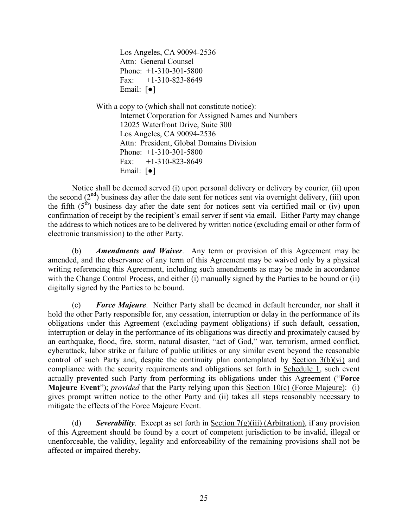Los Angeles, CA 90094-2536 Attn: General Counsel Phone: +1-310-301-5800 Fax:  $+1-310-823-8649$ Email: [●]

With a copy to (which shall not constitute notice): Internet Corporation for Assigned Names and Numbers 12025 Waterfront Drive, Suite 300 Los Angeles, CA 90094-2536 Attn: President, Global Domains Division Phone: +1-310-301-5800 Fax:  $+1-310-823-8649$ Email: [●]

Notice shall be deemed served (i) upon personal delivery or delivery by courier, (ii) upon the second  $(2<sup>nd</sup>)$  business day after the date sent for notices sent via overnight delivery, (iii) upon the fifth  $(5<sup>th</sup>)$  business day after the date sent for notices sent via certified mail or (iv) upon confirmation of receipt by the recipient's email server if sent via email. Either Party may change the address to which notices are to be delivered by written notice (excluding email or other form of electronic transmission) to the other Party.

(b) *Amendments and Waiver*. Any term or provision of this Agreement may be amended, and the observance of any term of this Agreement may be waived only by a physical writing referencing this Agreement, including such amendments as may be made in accordance with the Change Control Process, and either (i) manually signed by the Parties to be bound or (ii) digitally signed by the Parties to be bound.

(c) *Force Majeure*. Neither Party shall be deemed in default hereunder, nor shall it hold the other Party responsible for, any cessation, interruption or delay in the performance of its obligations under this Agreement (excluding payment obligations) if such default, cessation, interruption or delay in the performance of its obligations was directly and proximately caused by an earthquake, flood, fire, storm, natural disaster, "act of God," war, terrorism, armed conflict, cyberattack, labor strike or failure of public utilities or any similar event beyond the reasonable control of such Party and, despite the continuity plan contemplated by Section 3(b)(vi) and compliance with the security requirements and obligations set forth in Schedule 1, such event actually prevented such Party from performing its obligations under this Agreement ("**Force Majeure Event**"); *provided* that the Party relying upon this Section 10(c) (Force Majeure): (i) gives prompt written notice to the other Party and (ii) takes all steps reasonably necessary to mitigate the effects of the Force Majeure Event.

(d) *Severability*. Except as set forth in Section 7(g)(iii) (Arbitration), if any provision of this Agreement should be found by a court of competent jurisdiction to be invalid, illegal or unenforceable, the validity, legality and enforceability of the remaining provisions shall not be affected or impaired thereby.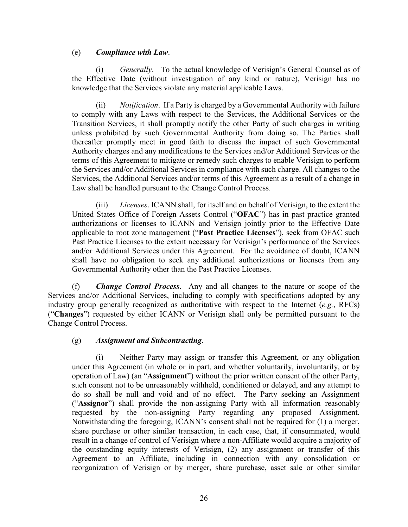### (e) *Compliance with Law*.

(i) *Generally*. To the actual knowledge of Verisign's General Counsel as of the Effective Date (without investigation of any kind or nature), Verisign has no knowledge that the Services violate any material applicable Laws.

(ii) *Notification*. If a Party is charged by a Governmental Authority with failure to comply with any Laws with respect to the Services, the Additional Services or the Transition Services, it shall promptly notify the other Party of such charges in writing unless prohibited by such Governmental Authority from doing so. The Parties shall thereafter promptly meet in good faith to discuss the impact of such Governmental Authority charges and any modifications to the Services and/or Additional Services or the terms of this Agreement to mitigate or remedy such charges to enable Verisign to perform the Services and/or Additional Services in compliance with such charge. All changes to the Services, the Additional Services and/or terms of this Agreement as a result of a change in Law shall be handled pursuant to the Change Control Process.

(iii) *Licenses*. ICANN shall, for itself and on behalf of Verisign, to the extent the United States Office of Foreign Assets Control ("**OFAC**") has in past practice granted authorizations or licenses to ICANN and Verisign jointly prior to the Effective Date applicable to root zone management ("**Past Practice Licenses**"), seek from OFAC such Past Practice Licenses to the extent necessary for Verisign's performance of the Services and/or Additional Services under this Agreement. For the avoidance of doubt, ICANN shall have no obligation to seek any additional authorizations or licenses from any Governmental Authority other than the Past Practice Licenses.

(f) *Change Control Process*. Any and all changes to the nature or scope of the Services and/or Additional Services, including to comply with specifications adopted by any industry group generally recognized as authoritative with respect to the Internet (*e.g.*, RFCs) ("**Changes**") requested by either ICANN or Verisign shall only be permitted pursuant to the Change Control Process.

### (g) *Assignment and Subcontracting*.

(i) Neither Party may assign or transfer this Agreement, or any obligation under this Agreement (in whole or in part, and whether voluntarily, involuntarily, or by operation of Law) (an "**Assignment**") without the prior written consent of the other Party, such consent not to be unreasonably withheld, conditioned or delayed, and any attempt to do so shall be null and void and of no effect. The Party seeking an Assignment ("**Assignor**") shall provide the non-assigning Party with all information reasonably requested by the non-assigning Party regarding any proposed Assignment. Notwithstanding the foregoing, ICANN's consent shall not be required for (1) a merger, share purchase or other similar transaction, in each case, that, if consummated, would result in a change of control of Verisign where a non-Affiliate would acquire a majority of the outstanding equity interests of Verisign, (2) any assignment or transfer of this Agreement to an Affiliate, including in connection with any consolidation or reorganization of Verisign or by merger, share purchase, asset sale or other similar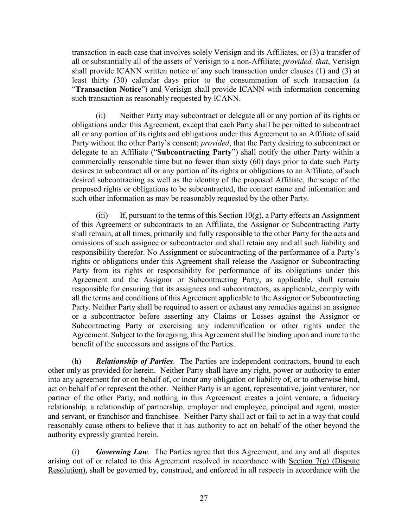transaction in each case that involves solely Verisign and its Affiliates, or (3) a transfer of all or substantially all of the assets of Verisign to a non-Affiliate; *provided, that*, Verisign shall provide ICANN written notice of any such transaction under clauses (1) and (3) at least thirty (30) calendar days prior to the consummation of such transaction (a "**Transaction Notice**") and Verisign shall provide ICANN with information concerning such transaction as reasonably requested by ICANN.

(ii) Neither Party may subcontract or delegate all or any portion of its rights or obligations under this Agreement, except that each Party shall be permitted to subcontract all or any portion of its rights and obligations under this Agreement to an Affiliate of said Party without the other Party's consent; *provided*, that the Party desiring to subcontract or delegate to an Affiliate ("**Subcontracting Party**") shall notify the other Party within a commercially reasonable time but no fewer than sixty (60) days prior to date such Party desires to subcontract all or any portion of its rights or obligations to an Affiliate, of such desired subcontracting as well as the identity of the proposed Affiliate, the scope of the proposed rights or obligations to be subcontracted, the contact name and information and such other information as may be reasonably requested by the other Party.

(iii) If, pursuant to the terms of this Section  $10(g)$ , a Party effects an Assignment of this Agreement or subcontracts to an Affiliate, the Assignor or Subcontracting Party shall remain, at all times, primarily and fully responsible to the other Party for the acts and omissions of such assignee or subcontractor and shall retain any and all such liability and responsibility therefor. No Assignment or subcontracting of the performance of a Party's rights or obligations under this Agreement shall release the Assignor or Subcontracting Party from its rights or responsibility for performance of its obligations under this Agreement and the Assignor or Subcontracting Party, as applicable, shall remain responsible for ensuring that its assignees and subcontractors, as applicable, comply with all the terms and conditions of this Agreement applicable to the Assignor or Subcontracting Party. Neither Party shall be required to assert or exhaust any remedies against an assignee or a subcontractor before asserting any Claims or Losses against the Assignor or Subcontracting Party or exercising any indemnification or other rights under the Agreement. Subject to the foregoing, this Agreement shall be binding upon and inure to the benefit of the successors and assigns of the Parties.

(h) *Relationship of Parties*. The Parties are independent contractors, bound to each other only as provided for herein. Neither Party shall have any right, power or authority to enter into any agreement for or on behalf of, or incur any obligation or liability of, or to otherwise bind, act on behalf of or represent the other. Neither Party is an agent, representative, joint venturer, nor partner of the other Party, and nothing in this Agreement creates a joint venture, a fiduciary relationship, a relationship of partnership, employer and employee, principal and agent, master and servant, or franchisor and franchisee. Neither Party shall act or fail to act in a way that could reasonably cause others to believe that it has authority to act on behalf of the other beyond the authority expressly granted herein.

(i) *Governing Law*. The Parties agree that this Agreement, and any and all disputes arising out of or related to this Agreement resolved in accordance with Section 7(g) (Dispute Resolution), shall be governed by, construed, and enforced in all respects in accordance with the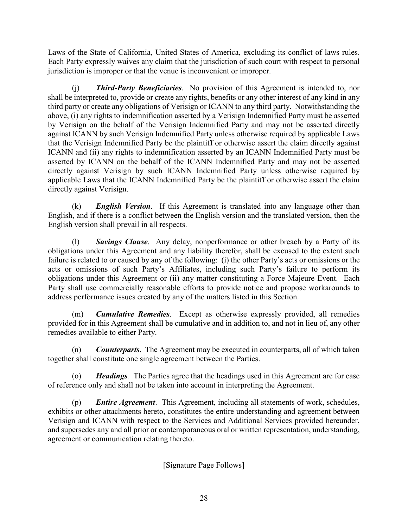Laws of the State of California, United States of America, excluding its conflict of laws rules. Each Party expressly waives any claim that the jurisdiction of such court with respect to personal jurisdiction is improper or that the venue is inconvenient or improper.

(j) *Third-Party Beneficiaries*. No provision of this Agreement is intended to, nor shall be interpreted to, provide or create any rights, benefits or any other interest of any kind in any third party or create any obligations of Verisign or ICANN to any third party. Notwithstanding the above, (i) any rights to indemnification asserted by a Verisign Indemnified Party must be asserted by Verisign on the behalf of the Verisign Indemnified Party and may not be asserted directly against ICANN by such Verisign Indemnified Party unless otherwise required by applicable Laws that the Verisign Indemnified Party be the plaintiff or otherwise assert the claim directly against ICANN and (ii) any rights to indemnification asserted by an ICANN Indemnified Party must be asserted by ICANN on the behalf of the ICANN Indemnified Party and may not be asserted directly against Verisign by such ICANN Indemnified Party unless otherwise required by applicable Laws that the ICANN Indemnified Party be the plaintiff or otherwise assert the claim directly against Verisign.

(k) *English Version*.If this Agreement is translated into any language other than English, and if there is a conflict between the English version and the translated version, then the English version shall prevail in all respects.

(l) *Savings Clause*. Any delay, nonperformance or other breach by a Party of its obligations under this Agreement and any liability therefor, shall be excused to the extent such failure is related to or caused by any of the following: (i) the other Party's acts or omissions or the acts or omissions of such Party's Affiliates, including such Party's failure to perform its obligations under this Agreement or (ii) any matter constituting a Force Majeure Event. Each Party shall use commercially reasonable efforts to provide notice and propose workarounds to address performance issues created by any of the matters listed in this Section.

(m) *Cumulative Remedies*. Except as otherwise expressly provided, all remedies provided for in this Agreement shall be cumulative and in addition to, and not in lieu of, any other remedies available to either Party.

(n) *Counterparts*.The Agreement may be executed in counterparts, all of which taken together shall constitute one single agreement between the Parties.

*Headings*. The Parties agree that the headings used in this Agreement are for ease of reference only and shall not be taken into account in interpreting the Agreement.

(p) *Entire Agreement*. This Agreement, including all statements of work, schedules, exhibits or other attachments hereto, constitutes the entire understanding and agreement between Verisign and ICANN with respect to the Services and Additional Services provided hereunder, and supersedes any and all prior or contemporaneous oral or written representation, understanding, agreement or communication relating thereto.

[Signature Page Follows]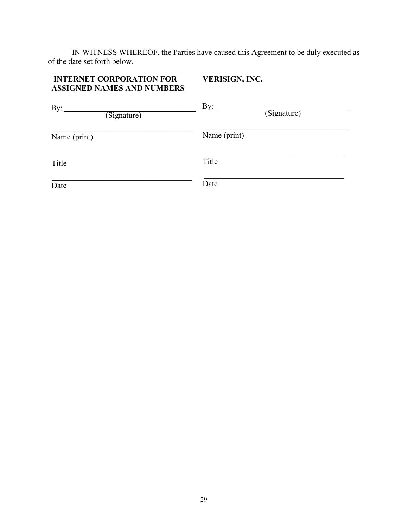IN WITNESS WHEREOF, the Parties have caused this Agreement to be duly executed as of the date set forth below.

#### **INTERNET CORPORATION FOR ASSIGNED NAMES AND NUMBERS VERISIGN, INC.**

| By:<br>(Signature) | By:<br>(Signature) |
|--------------------|--------------------|
| Name (print)       | Name (print)       |
| Title              | Title              |
| Date               | Date               |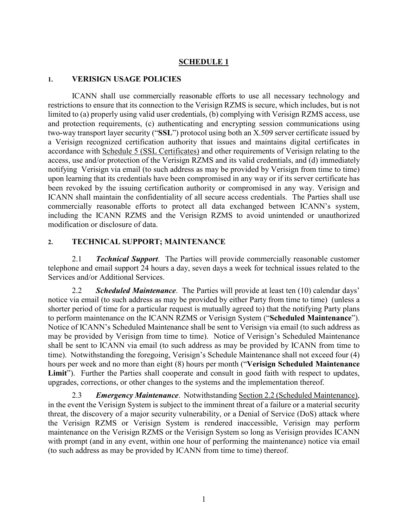### **SCHEDULE 1**

#### **1. VERISIGN USAGE POLICIES**

ICANN shall use commercially reasonable efforts to use all necessary technology and restrictions to ensure that its connection to the Verisign RZMS is secure, which includes, but is not limited to (a) properly using valid user credentials, (b) complying with Verisign RZMS access, use and protection requirements, (c) authenticating and encrypting session communications using two-way transport layer security ("**SSL**") protocol using both an X.509 server certificate issued by a Verisign recognized certification authority that issues and maintains digital certificates in accordance with Schedule 5 (SSL Certificates) and other requirements of Verisign relating to the access, use and/or protection of the Verisign RZMS and its valid credentials, and (d) immediately notifying Verisign via email (to such address as may be provided by Verisign from time to time) upon learning that its credentials have been compromised in any way or if its server certificate has been revoked by the issuing certification authority or compromised in any way. Verisign and ICANN shall maintain the confidentiality of all secure access credentials. The Parties shall use commercially reasonable efforts to protect all data exchanged between ICANN's system, including the ICANN RZMS and the Verisign RZMS to avoid unintended or unauthorized modification or disclosure of data.

### **2. TECHNICAL SUPPORT; MAINTENANCE**

2.1 *Technical Support*. The Parties will provide commercially reasonable customer telephone and email support 24 hours a day, seven days a week for technical issues related to the Services and/or Additional Services.

2.2 *Scheduled Maintenance*. The Parties will provide at least ten (10) calendar days' notice via email (to such address as may be provided by either Party from time to time) (unless a shorter period of time for a particular request is mutually agreed to) that the notifying Party plans to perform maintenance on the ICANN RZMS or Verisign System ("**Scheduled Maintenance**"). Notice of ICANN's Scheduled Maintenance shall be sent to Verisign via email (to such address as may be provided by Verisign from time to time). Notice of Verisign's Scheduled Maintenance shall be sent to ICANN via email (to such address as may be provided by ICANN from time to time). Notwithstanding the foregoing, Verisign's Schedule Maintenance shall not exceed four (4) hours per week and no more than eight (8) hours per month ("**Verisign Scheduled Maintenance**  Limit"). Further the Parties shall cooperate and consult in good faith with respect to updates, upgrades, corrections, or other changes to the systems and the implementation thereof.

2.3 *Emergency Maintenance*. Notwithstanding Section 2.2 (Scheduled Maintenance), in the event the Verisign System is subject to the imminent threat of a failure or a material security threat, the discovery of a major security vulnerability, or a Denial of Service (DoS) attack where the Verisign RZMS or Verisign System is rendered inaccessible, Verisign may perform maintenance on the Verisign RZMS or the Verisign System so long as Verisign provides ICANN with prompt (and in any event, within one hour of performing the maintenance) notice via email (to such address as may be provided by ICANN from time to time) thereof.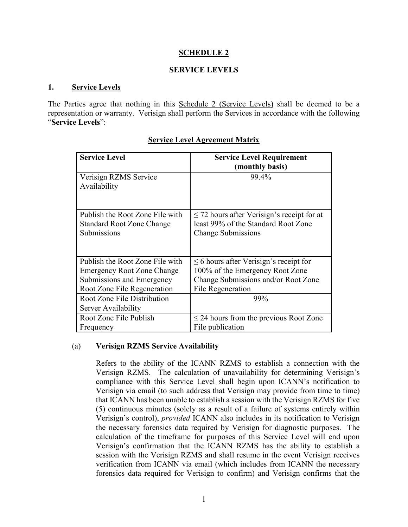### **SCHEDULE 2**

### **SERVICE LEVELS**

### **1. Service Levels**

The Parties agree that nothing in this Schedule 2 (Service Levels) shall be deemed to be a representation or warranty. Verisign shall perform the Services in accordance with the following "**Service Levels**":

| <b>Service Level</b>                               | <b>Service Level Requirement</b><br>(monthly basis) |
|----------------------------------------------------|-----------------------------------------------------|
| Verisign RZMS Service<br>Availability              | 99.4%                                               |
| Publish the Root Zone File with                    | $\leq$ 72 hours after Verisign's receipt for at     |
| <b>Standard Root Zone Change</b>                   | least 99% of the Standard Root Zone                 |
| Submissions                                        | <b>Change Submissions</b>                           |
| Publish the Root Zone File with                    | $\leq$ 6 hours after Verisign's receipt for         |
| <b>Emergency Root Zone Change</b>                  | 100% of the Emergency Root Zone                     |
| Submissions and Emergency                          | Change Submissions and/or Root Zone                 |
| Root Zone File Regeneration                        | File Regeneration                                   |
| Root Zone File Distribution<br>Server Availability | 99%                                                 |
| Root Zone File Publish                             | $\leq$ 24 hours from the previous Root Zone         |
| Frequency                                          | File publication                                    |

## **Service Level Agreement Matrix**

### (a) **Verisign RZMS Service Availability**

Refers to the ability of the ICANN RZMS to establish a connection with the Verisign RZMS. The calculation of unavailability for determining Verisign's compliance with this Service Level shall begin upon ICANN's notification to Verisign via email (to such address that Verisign may provide from time to time) that ICANN has been unable to establish a session with the Verisign RZMS for five (5) continuous minutes (solely as a result of a failure of systems entirely within Verisign's control), *provided* ICANN also includes in its notification to Verisign the necessary forensics data required by Verisign for diagnostic purposes. The calculation of the timeframe for purposes of this Service Level will end upon Verisign's confirmation that the ICANN RZMS has the ability to establish a session with the Verisign RZMS and shall resume in the event Verisign receives verification from ICANN via email (which includes from ICANN the necessary forensics data required for Verisign to confirm) and Verisign confirms that the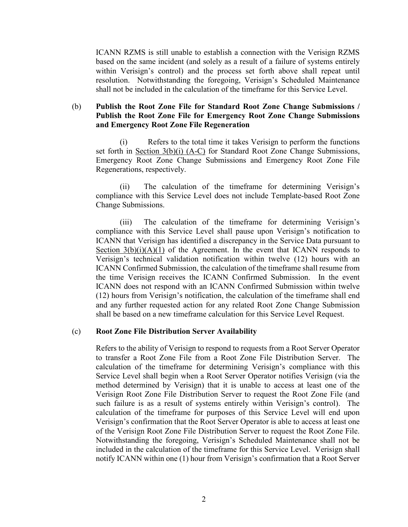ICANN RZMS is still unable to establish a connection with the Verisign RZMS based on the same incident (and solely as a result of a failure of systems entirely within Verisign's control) and the process set forth above shall repeat until resolution. Notwithstanding the foregoing, Verisign's Scheduled Maintenance shall not be included in the calculation of the timeframe for this Service Level.

### (b) **Publish the Root Zone File for Standard Root Zone Change Submissions / Publish the Root Zone File for Emergency Root Zone Change Submissions and Emergency Root Zone File Regeneration**

(i) Refers to the total time it takes Verisign to perform the functions set forth in Section 3(b)(i) (A-C) for Standard Root Zone Change Submissions, Emergency Root Zone Change Submissions and Emergency Root Zone File Regenerations, respectively.

(ii) The calculation of the timeframe for determining Verisign's compliance with this Service Level does not include Template-based Root Zone Change Submissions.

(iii) The calculation of the timeframe for determining Verisign's compliance with this Service Level shall pause upon Verisign's notification to ICANN that Verisign has identified a discrepancy in the Service Data pursuant to Section  $3(b)(i)(A)(1)$  of the Agreement. In the event that ICANN responds to Verisign's technical validation notification within twelve (12) hours with an ICANN Confirmed Submission, the calculation of the timeframe shall resume from the time Verisign receives the ICANN Confirmed Submission. In the event ICANN does not respond with an ICANN Confirmed Submission within twelve (12) hours from Verisign's notification, the calculation of the timeframe shall end and any further requested action for any related Root Zone Change Submission shall be based on a new timeframe calculation for this Service Level Request.

#### (c) **Root Zone File Distribution Server Availability**

Refers to the ability of Verisign to respond to requests from a Root Server Operator to transfer a Root Zone File from a Root Zone File Distribution Server. The calculation of the timeframe for determining Verisign's compliance with this Service Level shall begin when a Root Server Operator notifies Verisign (via the method determined by Verisign) that it is unable to access at least one of the Verisign Root Zone File Distribution Server to request the Root Zone File (and such failure is as a result of systems entirely within Verisign's control). The calculation of the timeframe for purposes of this Service Level will end upon Verisign's confirmation that the Root Server Operator is able to access at least one of the Verisign Root Zone File Distribution Server to request the Root Zone File. Notwithstanding the foregoing, Verisign's Scheduled Maintenance shall not be included in the calculation of the timeframe for this Service Level. Verisign shall notify ICANN within one (1) hour from Verisign's confirmation that a Root Server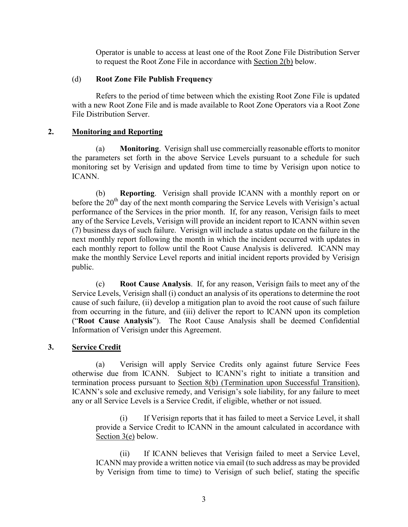Operator is unable to access at least one of the Root Zone File Distribution Server to request the Root Zone File in accordance with Section 2(b) below.

### (d) **Root Zone File Publish Frequency**

Refers to the period of time between which the existing Root Zone File is updated with a new Root Zone File and is made available to Root Zone Operators via a Root Zone File Distribution Server.

### **2. Monitoring and Reporting**

(a) **Monitoring**. Verisign shall use commercially reasonable efforts to monitor the parameters set forth in the above Service Levels pursuant to a schedule for such monitoring set by Verisign and updated from time to time by Verisign upon notice to ICANN.

(b) **Reporting**. Verisign shall provide ICANN with a monthly report on or before the  $20<sup>th</sup>$  day of the next month comparing the Service Levels with Verisign's actual performance of the Services in the prior month. If, for any reason, Verisign fails to meet any of the Service Levels, Verisign will provide an incident report to ICANN within seven (7) business days of such failure. Verisign will include a status update on the failure in the next monthly report following the month in which the incident occurred with updates in each monthly report to follow until the Root Cause Analysis is delivered. ICANN may make the monthly Service Level reports and initial incident reports provided by Verisign public.

(c) **Root Cause Analysis**. If, for any reason, Verisign fails to meet any of the Service Levels, Verisign shall (i) conduct an analysis of its operations to determine the root cause of such failure, (ii) develop a mitigation plan to avoid the root cause of such failure from occurring in the future, and (iii) deliver the report to ICANN upon its completion ("**Root Cause Analysis**"). The Root Cause Analysis shall be deemed Confidential Information of Verisign under this Agreement.

## **3. Service Credit**

(a) Verisign will apply Service Credits only against future Service Fees otherwise due from ICANN. Subject to ICANN's right to initiate a transition and termination process pursuant to Section 8(b) (Termination upon Successful Transition), ICANN's sole and exclusive remedy, and Verisign's sole liability, for any failure to meet any or all Service Levels is a Service Credit, if eligible, whether or not issued.

(i) If Verisign reports that it has failed to meet a Service Level, it shall provide a Service Credit to ICANN in the amount calculated in accordance with Section 3(e) below.

(ii) If ICANN believes that Verisign failed to meet a Service Level, ICANN may provide a written notice via email (to such address as may be provided by Verisign from time to time) to Verisign of such belief, stating the specific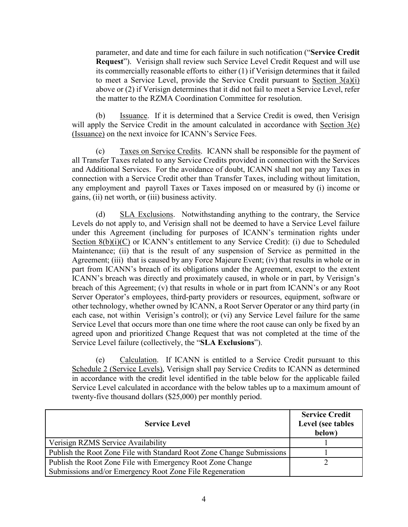parameter, and date and time for each failure in such notification ("**Service Credit Request**"). Verisign shall review such Service Level Credit Request and will use its commercially reasonable efforts to either (1) if Verisign determines that it failed to meet a Service Level, provide the Service Credit pursuant to Section 3(a)(i) above or (2) if Verisign determines that it did not fail to meet a Service Level, refer the matter to the RZMA Coordination Committee for resolution.

(b) Issuance. If it is determined that a Service Credit is owed, then Verisign will apply the Service Credit in the amount calculated in accordance with Section 3(e) (Issuance) on the next invoice for ICANN's Service Fees.

(c) Taxes on Service Credits. ICANN shall be responsible for the payment of all Transfer Taxes related to any Service Credits provided in connection with the Services and Additional Services. For the avoidance of doubt, ICANN shall not pay any Taxes in connection with a Service Credit other than Transfer Taxes, including without limitation, any employment and payroll Taxes or Taxes imposed on or measured by (i) income or gains, (ii) net worth, or (iii) business activity.

(d) SLA Exclusions.Notwithstanding anything to the contrary, the Service Levels do not apply to, and Verisign shall not be deemed to have a Service Level failure under this Agreement (including for purposes of ICANN's termination rights under Section  $8(b)(i)(C)$  or ICANN's entitlement to any Service Credit): (i) due to Scheduled Maintenance; (ii) that is the result of any suspension of Service as permitted in the Agreement; (iii) that is caused by any Force Majeure Event; (iv) that results in whole or in part from ICANN's breach of its obligations under the Agreement, except to the extent ICANN's breach was directly and proximately caused, in whole or in part, by Verisign's breach of this Agreement; (v) that results in whole or in part from ICANN's or any Root Server Operator's employees, third-party providers or resources, equipment, software or other technology, whether owned by ICANN, a Root Server Operator or any third party (in each case, not within Verisign's control); or (vi) any Service Level failure for the same Service Level that occurs more than one time where the root cause can only be fixed by an agreed upon and prioritized Change Request that was not completed at the time of the Service Level failure (collectively, the "**SLA Exclusions**").

(e) Calculation. If ICANN is entitled to a Service Credit pursuant to this Schedule 2 (Service Levels), Verisign shall pay Service Credits to ICANN as determined in accordance with the credit level identified in the table below for the applicable failed Service Level calculated in accordance with the below tables up to a maximum amount of twenty-five thousand dollars (\$25,000) per monthly period.

| <b>Service Level</b>                                                  | <b>Service Credit</b><br>Level (see tables<br>below) |
|-----------------------------------------------------------------------|------------------------------------------------------|
| Verisign RZMS Service Availability                                    |                                                      |
| Publish the Root Zone File with Standard Root Zone Change Submissions |                                                      |
| Publish the Root Zone File with Emergency Root Zone Change            |                                                      |
| Submissions and/or Emergency Root Zone File Regeneration              |                                                      |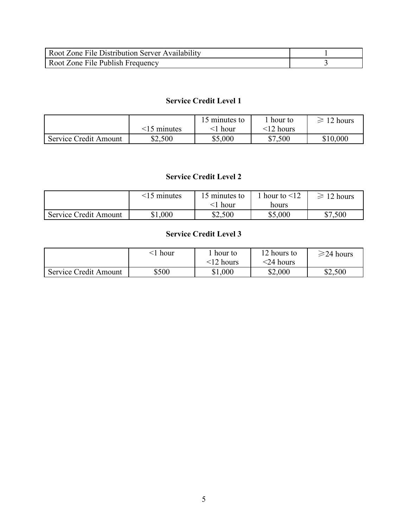| Root Zone File Distribution Server Availability |  |
|-------------------------------------------------|--|
| <b>Root Zone File Publish Frequency</b>         |  |

## **Service Credit Level 1**

|                       |                   | 15 minutes to | hour to         | $\geq 12$ hours |
|-----------------------|-------------------|---------------|-----------------|-----------------|
|                       | $\leq$ 15 minutes | $\leq$ l hour | $\leq$ 12 hours |                 |
| Service Credit Amount | \$2,500           | \$5,000       | \$7,500         | \$10,000        |

## **Service Credit Level 2**

|                       | $\leq$ 15 minutes | 15 minutes to<br><1 hour | hour to $\leq 12$<br>hours | $\geq 12$ hours |
|-----------------------|-------------------|--------------------------|----------------------------|-----------------|
| Service Credit Amount | \$1,000           | \$2,500                  | \$5,000                    | \$7,500         |

## **Service Credit Level 3**

|                       | hour  | . hour to<br>$<$ 12 hours | 12 hours to<br>$<$ 24 hours | $\geq$ 24 hours |
|-----------------------|-------|---------------------------|-----------------------------|-----------------|
| Service Credit Amount | \$500 | \$1,000                   | \$2,000                     | \$2,500         |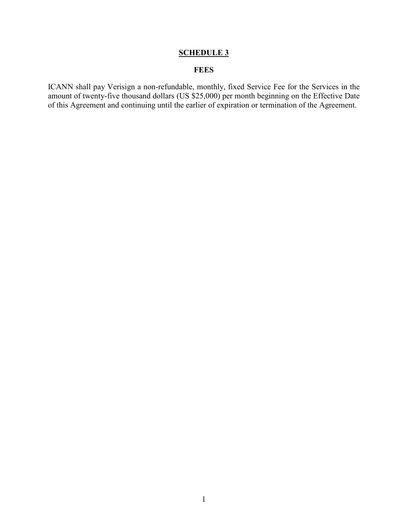## **SCHEDULE 3**

## **FEES**

ICANN shall pay Verisign a non-refundable, monthly, fixed Service Fee for the Services in the amount of twenty-five thousand dollars (US \$25,000) per month beginning on the Effective Date of this Agreement and continuing until the earlier of expiration or termination of the Agreement.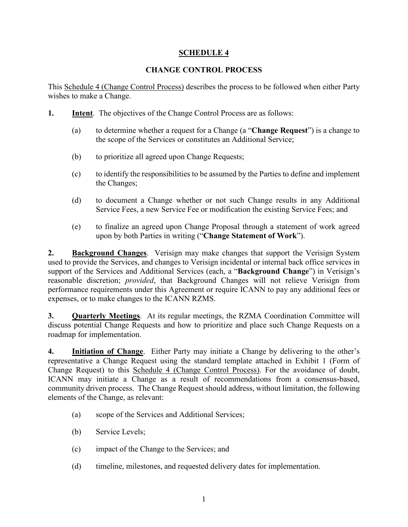## **SCHEDULE 4**

## **CHANGE CONTROL PROCESS**

This Schedule 4 (Change Control Process) describes the process to be followed when either Party wishes to make a Change.

- **1. Intent**. The objectives of the Change Control Process are as follows:
	- (a) to determine whether a request for a Change (a "**Change Request**") is a change to the scope of the Services or constitutes an Additional Service;
	- (b) to prioritize all agreed upon Change Requests;
	- (c) to identify the responsibilities to be assumed by the Parties to define and implement the Changes;
	- (d) to document a Change whether or not such Change results in any Additional Service Fees, a new Service Fee or modification the existing Service Fees; and
	- (e) to finalize an agreed upon Change Proposal through a statement of work agreed upon by both Parties in writing ("**Change Statement of Work**").

**2. Background Changes**. Verisign may make changes that support the Verisign System used to provide the Services, and changes to Verisign incidental or internal back office services in support of the Services and Additional Services (each, a "**Background Change**") in Verisign's reasonable discretion; *provided*, that Background Changes will not relieve Verisign from performance requirements under this Agreement or require ICANN to pay any additional fees or expenses, or to make changes to the ICANN RZMS.

**3. Quarterly Meetings**. At its regular meetings, the RZMA Coordination Committee will discuss potential Change Requests and how to prioritize and place such Change Requests on a roadmap for implementation.

**4. Initiation of Change**. Either Party may initiate a Change by delivering to the other's representative a Change Request using the standard template attached in Exhibit 1 (Form of Change Request) to this Schedule 4 (Change Control Process). For the avoidance of doubt, ICANN may initiate a Change as a result of recommendations from a consensus-based, community driven process. The Change Request should address, without limitation, the following elements of the Change, as relevant:

- (a) scope of the Services and Additional Services;
- (b) Service Levels;
- (c) impact of the Change to the Services; and
- (d) timeline, milestones, and requested delivery dates for implementation.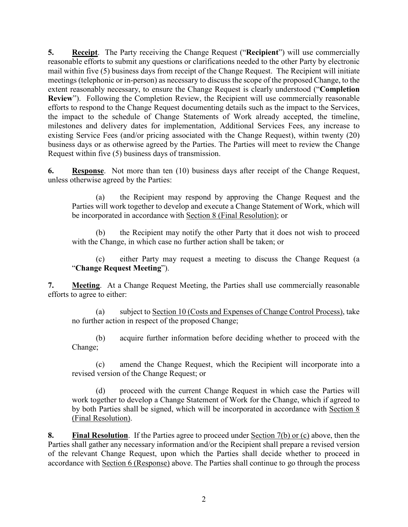**5. Receipt**. The Party receiving the Change Request ("**Recipient**") will use commercially reasonable efforts to submit any questions or clarifications needed to the other Party by electronic mail within five (5) business days from receipt of the Change Request. The Recipient will initiate meetings (telephonic or in-person) as necessary to discuss the scope of the proposed Change, to the extent reasonably necessary, to ensure the Change Request is clearly understood ("**Completion Review**"). Following the Completion Review, the Recipient will use commercially reasonable efforts to respond to the Change Request documenting details such as the impact to the Services, the impact to the schedule of Change Statements of Work already accepted, the timeline, milestones and delivery dates for implementation, Additional Services Fees, any increase to existing Service Fees (and/or pricing associated with the Change Request), within twenty (20) business days or as otherwise agreed by the Parties. The Parties will meet to review the Change Request within five (5) business days of transmission.

**6. Response**. Not more than ten (10) business days after receipt of the Change Request, unless otherwise agreed by the Parties:

(a) the Recipient may respond by approving the Change Request and the Parties will work together to develop and execute a Change Statement of Work, which will be incorporated in accordance with Section 8 (Final Resolution); or

(b) the Recipient may notify the other Party that it does not wish to proceed with the Change, in which case no further action shall be taken; or

(c) either Party may request a meeting to discuss the Change Request (a "**Change Request Meeting**").

**7. Meeting**. At a Change Request Meeting, the Parties shall use commercially reasonable efforts to agree to either:

(a) subject to Section 10 (Costs and Expenses of Change Control Process), take no further action in respect of the proposed Change;

(b) acquire further information before deciding whether to proceed with the Change;

(c) amend the Change Request, which the Recipient will incorporate into a revised version of the Change Request; or

(d) proceed with the current Change Request in which case the Parties will work together to develop a Change Statement of Work for the Change, which if agreed to by both Parties shall be signed, which will be incorporated in accordance with Section 8 (Final Resolution).

**8. Final Resolution**. If the Parties agree to proceed under Section 7(b) or (c) above, then the Parties shall gather any necessary information and/or the Recipient shall prepare a revised version of the relevant Change Request, upon which the Parties shall decide whether to proceed in accordance with Section 6 (Response) above. The Parties shall continue to go through the process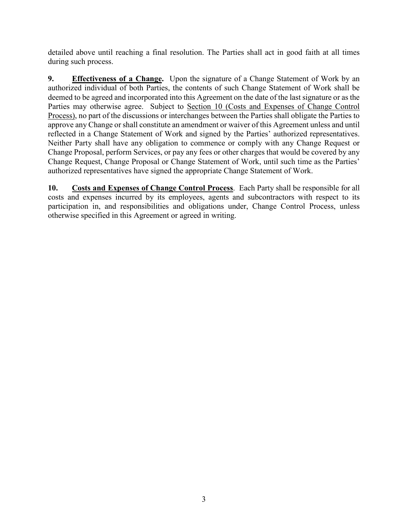detailed above until reaching a final resolution. The Parties shall act in good faith at all times during such process.

**9. Effectiveness of a Change.** Upon the signature of a Change Statement of Work by an authorized individual of both Parties, the contents of such Change Statement of Work shall be deemed to be agreed and incorporated into this Agreement on the date of the last signature or as the Parties may otherwise agree. Subject to Section 10 (Costs and Expenses of Change Control Process), no part of the discussions or interchanges between the Parties shall obligate the Parties to approve any Change or shall constitute an amendment or waiver of this Agreement unless and until reflected in a Change Statement of Work and signed by the Parties' authorized representatives. Neither Party shall have any obligation to commence or comply with any Change Request or Change Proposal, perform Services, or pay any fees or other charges that would be covered by any Change Request, Change Proposal or Change Statement of Work, until such time as the Parties' authorized representatives have signed the appropriate Change Statement of Work.

**10. Costs and Expenses of Change Control Process**. Each Party shall be responsible for all costs and expenses incurred by its employees, agents and subcontractors with respect to its participation in, and responsibilities and obligations under, Change Control Process, unless otherwise specified in this Agreement or agreed in writing.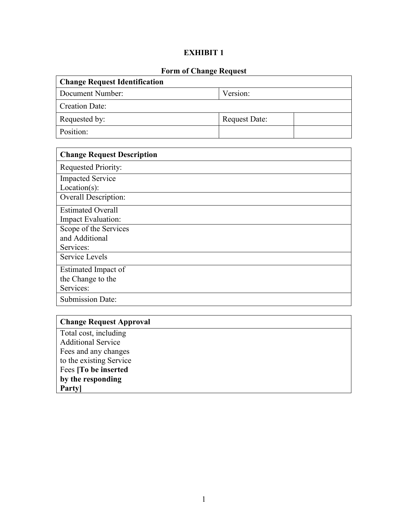# **EXHIBIT 1**

# **Form of Change Request**

| <b>Change Request Identification</b> |                      |  |
|--------------------------------------|----------------------|--|
| Document Number:                     | Version:             |  |
| Creation Date:                       |                      |  |
| Requested by:                        | <b>Request Date:</b> |  |
| Position:                            |                      |  |

| <b>Change Request Description</b> |
|-----------------------------------|
| <b>Requested Priority:</b>        |
| <b>Impacted Service</b>           |
| $Location(s)$ :                   |
| <b>Overall Description:</b>       |
| <b>Estimated Overall</b>          |
| Impact Evaluation:                |
| Scope of the Services             |
| and Additional                    |
| Services:                         |
| Service Levels                    |
| Estimated Impact of               |
| the Change to the                 |
| Services:                         |
| <b>Submission Date:</b>           |

| <b>Change Request Approval</b> |
|--------------------------------|
| Total cost, including          |
| <b>Additional Service</b>      |
| Fees and any changes           |
| to the existing Service        |
| Fees [To be inserted]          |
| by the responding              |
| Party                          |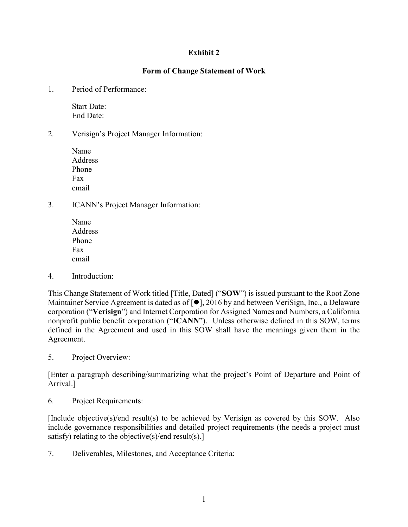## **Exhibit 2**

## **Form of Change Statement of Work**

1. Period of Performance:

Start Date: End Date:

2. Verisign's Project Manager Information:

Name **Address** Phone Fax email

3. ICANN's Project Manager Information:

Name Address Phone Fax email

4. Introduction:

This Change Statement of Work titled [Title, Dated] ("**SOW**") is issued pursuant to the Root Zone Maintainer Service Agreement is dated as of  $[•]$ , 2016 by and between VeriSign, Inc., a Delaware corporation ("**Verisign**") and Internet Corporation for Assigned Names and Numbers, a California nonprofit public benefit corporation ("**ICANN**"). Unless otherwise defined in this SOW, terms defined in the Agreement and used in this SOW shall have the meanings given them in the Agreement.

5. Project Overview:

[Enter a paragraph describing/summarizing what the project's Point of Departure and Point of Arrival.]

6. Project Requirements:

[Include objective(s)/end result(s) to be achieved by Verisign as covered by this SOW. Also include governance responsibilities and detailed project requirements (the needs a project must satisfy) relating to the objective(s)/end result(s).]

7. Deliverables, Milestones, and Acceptance Criteria: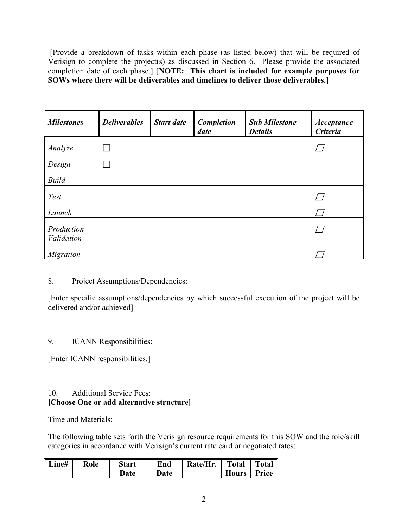[Provide a breakdown of tasks within each phase (as listed below) that will be required of Verisign to complete the project(s) as discussed in Section 6. Please provide the associated completion date of each phase.] [**NOTE: This chart is included for example purposes for SOWs where there will be deliverables and timelines to deliver those deliverables.**]

| <b>Milestones</b>        | <b>Deliverables</b> | <b>Start date</b> | <b>Completion</b><br>date | <b>Sub Milestone</b><br><b>Details</b> | <b>Acceptance</b><br><b>Criteria</b> |
|--------------------------|---------------------|-------------------|---------------------------|----------------------------------------|--------------------------------------|
| Analyze                  |                     |                   |                           |                                        |                                      |
| Design                   |                     |                   |                           |                                        |                                      |
| <b>Build</b>             |                     |                   |                           |                                        |                                      |
| <b>Test</b>              |                     |                   |                           |                                        |                                      |
| Launch                   |                     |                   |                           |                                        |                                      |
| Production<br>Validation |                     |                   |                           |                                        |                                      |
| <b>Migration</b>         |                     |                   |                           |                                        |                                      |

## 8. Project Assumptions/Dependencies:

[Enter specific assumptions/dependencies by which successful execution of the project will be delivered and/or achieved]

## 9. ICANN Responsibilities:

[Enter ICANN responsibilities.]

## 10. Additional Service Fees: **[Choose One or add alternative structure]**

## Time and Materials:

The following table sets forth the Verisign resource requirements for this SOW and the role/skill categories in accordance with Verisign's current rate card or negotiated rates:

| Line# | Role | <b>Start</b> | End  | Rate/Hr. Total Total |  |
|-------|------|--------------|------|----------------------|--|
|       |      | Date         | Date |                      |  |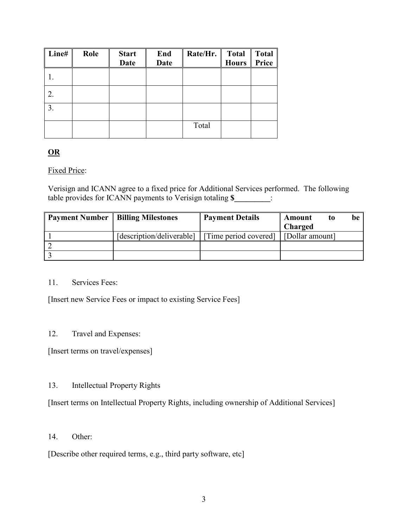| Line# | Role | <b>Start</b><br><b>Date</b> | End<br><b>Date</b> | Rate/Hr. | <b>Total</b><br><b>Hours</b> | <b>Total</b><br>Price |
|-------|------|-----------------------------|--------------------|----------|------------------------------|-----------------------|
|       |      |                             |                    |          |                              |                       |
| 2.    |      |                             |                    |          |                              |                       |
| 3.    |      |                             |                    |          |                              |                       |
|       |      |                             |                    | Total    |                              |                       |

## **OR**

## Fixed Price:

Verisign and ICANN agree to a fixed price for Additional Services performed. The following table provides for ICANN payments to Verisign totaling **\$\_\_\_\_\_\_\_\_\_**:

| <b>Payment Number</b> | <b>Billing Milestones</b> | <b>Payment Details</b> | Amount<br>to    | be |
|-----------------------|---------------------------|------------------------|-----------------|----|
|                       |                           |                        | <b>Charged</b>  |    |
|                       | [description/deliverable] | [Time period covered]  | [Dollar amount] |    |
|                       |                           |                        |                 |    |
|                       |                           |                        |                 |    |

### 11. Services Fees:

[Insert new Service Fees or impact to existing Service Fees]

## 12. Travel and Expenses:

[Insert terms on travel/expenses]

## 13. Intellectual Property Rights

[Insert terms on Intellectual Property Rights, including ownership of Additional Services]

14. Other:

[Describe other required terms, e.g., third party software, etc]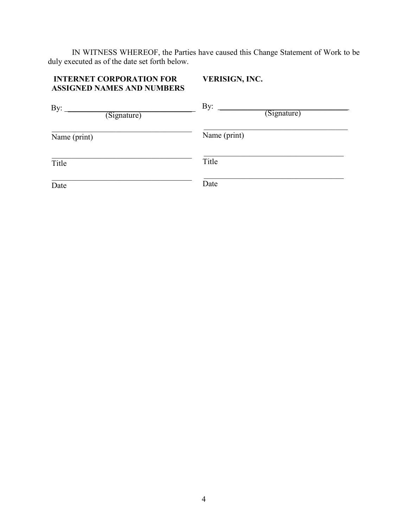IN WITNESS WHEREOF, the Parties have caused this Change Statement of Work to be duly executed as of the date set forth below.

#### **INTERNET CORPORATION FOR ASSIGNED NAMES AND NUMBERS VERISIGN, INC.**

| By:          | By:          |
|--------------|--------------|
| (Signature)  | (Signature)  |
| Name (print) | Name (print) |
| Title        | Title        |
| Date         | Date         |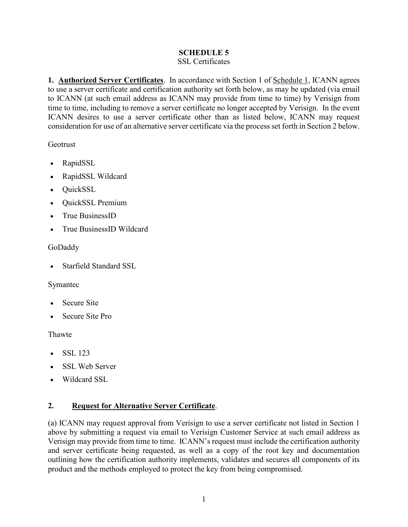## **SCHEDULE 5**

## SSL Certificates

**1. Authorized Server Certificates**. In accordance with Section 1 of Schedule 1, ICANN agrees to use a server certificate and certification authority set forth below, as may be updated (via email to ICANN (at such email address as ICANN may provide from time to time) by Verisign from time to time, including to remove a server certificate no longer accepted by Verisign. In the event ICANN desires to use a server certificate other than as listed below, ICANN may request consideration for use of an alternative server certificate via the process set forth in Section 2 below.

## Geotrust

- RapidSSL
- RapidSSL Wildcard
- QuickSSL
- QuickSSL Premium
- True BusinessID
- True BusinessID Wildcard

## GoDaddy

• Starfield Standard SSL

## Symantec

- Secure Site
- Secure Site Pro

## Thawte

- SSL 123
- SSL Web Server
- Wildcard SSL

## **2. Request for Alternative Server Certificate**.

(a) ICANN may request approval from Verisign to use a server certificate not listed in Section 1 above by submitting a request via email to Verisign Customer Service at such email address as Verisign may provide from time to time. ICANN's request must include the certification authority and server certificate being requested, as well as a copy of the root key and documentation outlining how the certification authority implements, validates and secures all components of its product and the methods employed to protect the key from being compromised.